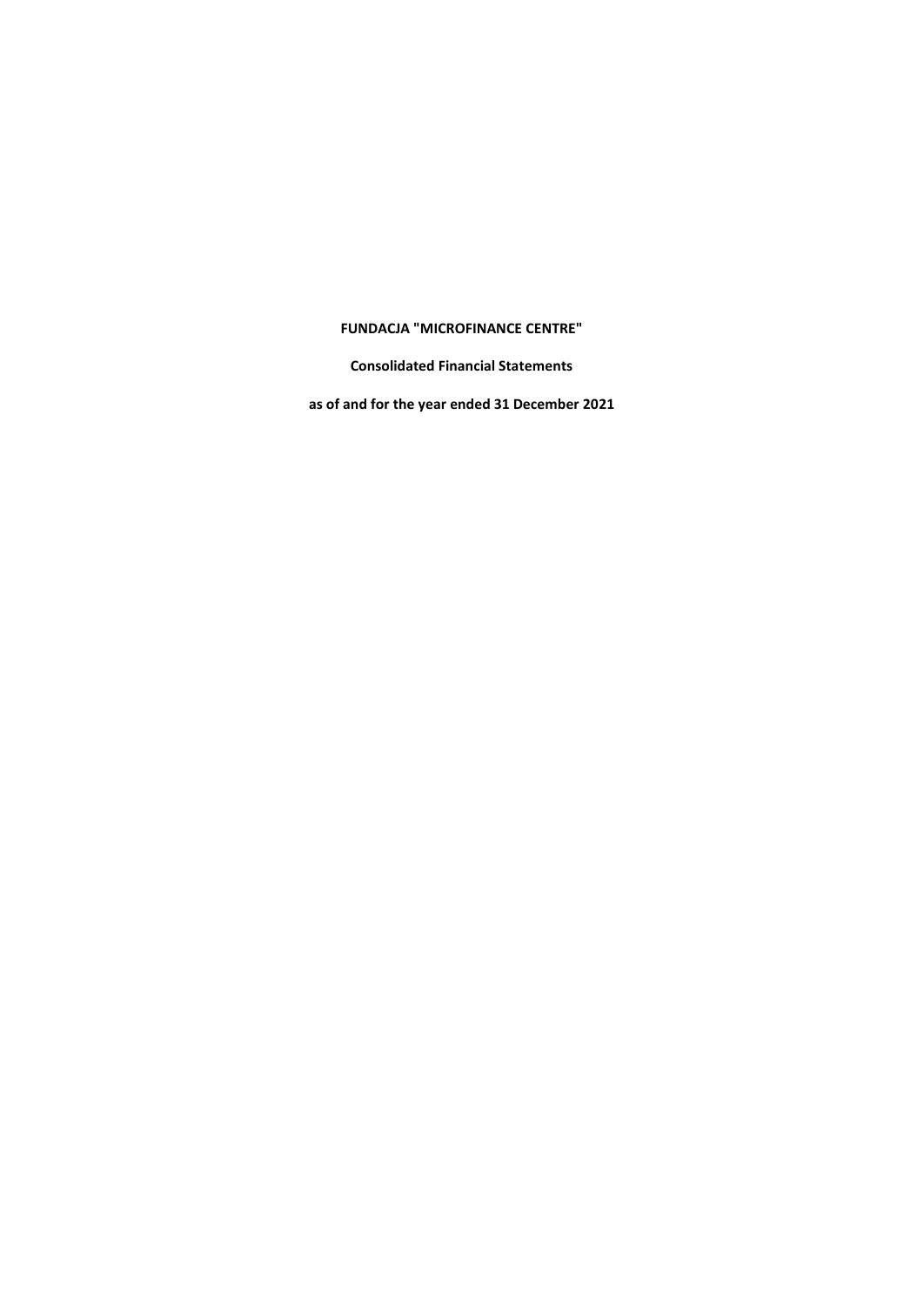## **FUNDACJA "MICROFINANCE CENTRE"**

**Consolidated Financial Statements**

**as of and for the year ended 31 December 2021**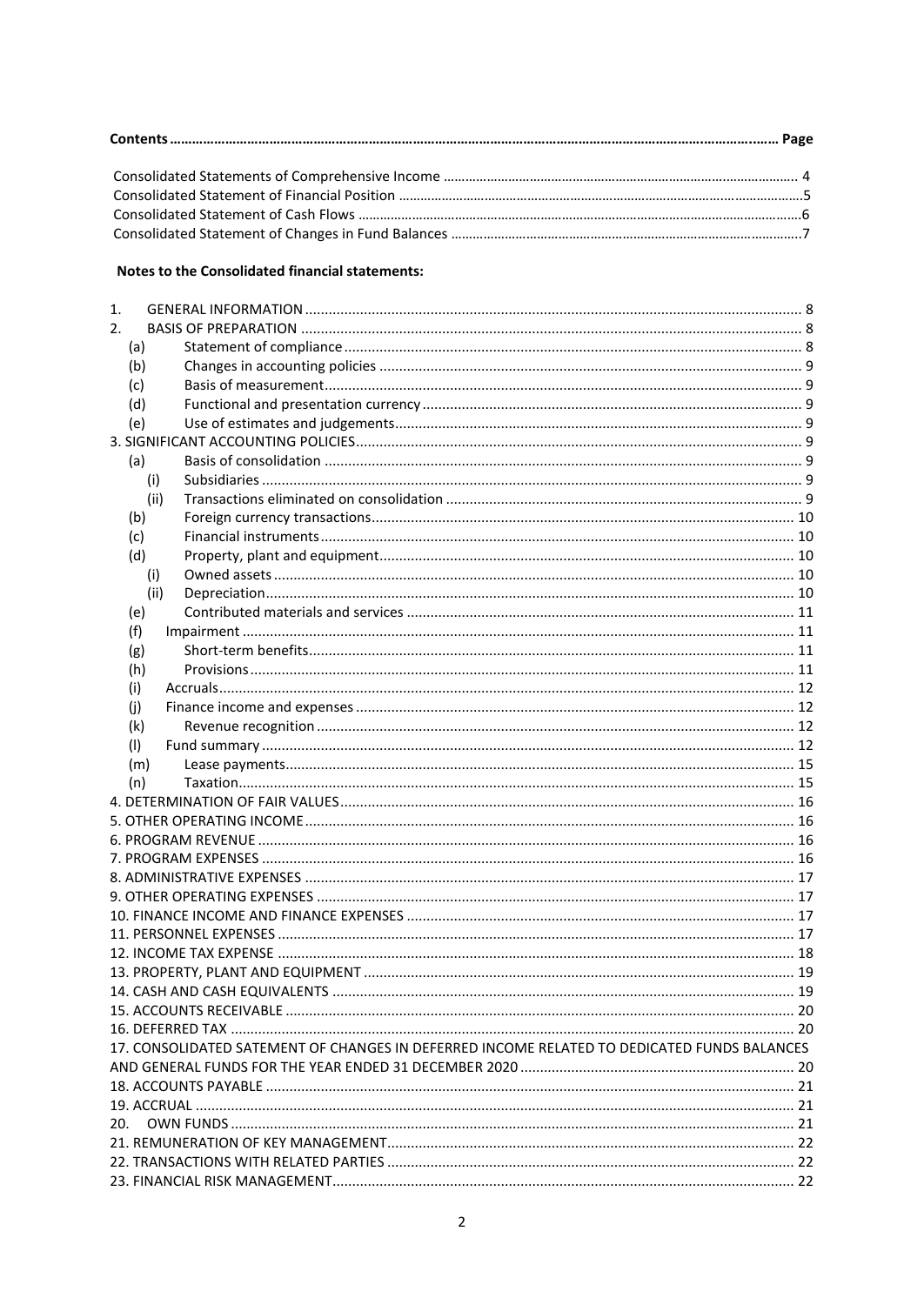## Notes to the Consolidated financial statements:

| 1.  |      |                                                                                             |  |
|-----|------|---------------------------------------------------------------------------------------------|--|
| 2.  |      |                                                                                             |  |
| (a) |      |                                                                                             |  |
| (b) |      |                                                                                             |  |
| (c) |      |                                                                                             |  |
| (d) |      |                                                                                             |  |
| (e) |      |                                                                                             |  |
|     |      |                                                                                             |  |
| (a) |      |                                                                                             |  |
|     | (i)  |                                                                                             |  |
|     | (ii) |                                                                                             |  |
| (b) |      |                                                                                             |  |
| (c) |      |                                                                                             |  |
| (d) |      |                                                                                             |  |
|     | (i)  |                                                                                             |  |
|     | (ii) |                                                                                             |  |
| (e) |      |                                                                                             |  |
| (f) |      |                                                                                             |  |
| (g) |      |                                                                                             |  |
| (h) |      |                                                                                             |  |
| (i) |      |                                                                                             |  |
| (j) |      |                                                                                             |  |
| (k) |      |                                                                                             |  |
| (1) |      |                                                                                             |  |
| (m) |      |                                                                                             |  |
| (n) |      |                                                                                             |  |
|     |      |                                                                                             |  |
|     |      |                                                                                             |  |
|     |      |                                                                                             |  |
|     |      |                                                                                             |  |
|     |      |                                                                                             |  |
|     |      |                                                                                             |  |
|     |      |                                                                                             |  |
|     |      |                                                                                             |  |
|     |      |                                                                                             |  |
|     |      |                                                                                             |  |
|     |      | 14. CASH AND CASH FOUIVALENTS                                                               |  |
|     |      |                                                                                             |  |
|     |      |                                                                                             |  |
|     |      | 17. CONSOLIDATED SATEMENT OF CHANGES IN DEFERRED INCOME RELATED TO DEDICATED FUNDS BALANCES |  |
|     |      |                                                                                             |  |
|     |      |                                                                                             |  |
|     |      |                                                                                             |  |
| 20. |      |                                                                                             |  |
|     |      |                                                                                             |  |
|     |      |                                                                                             |  |
|     |      |                                                                                             |  |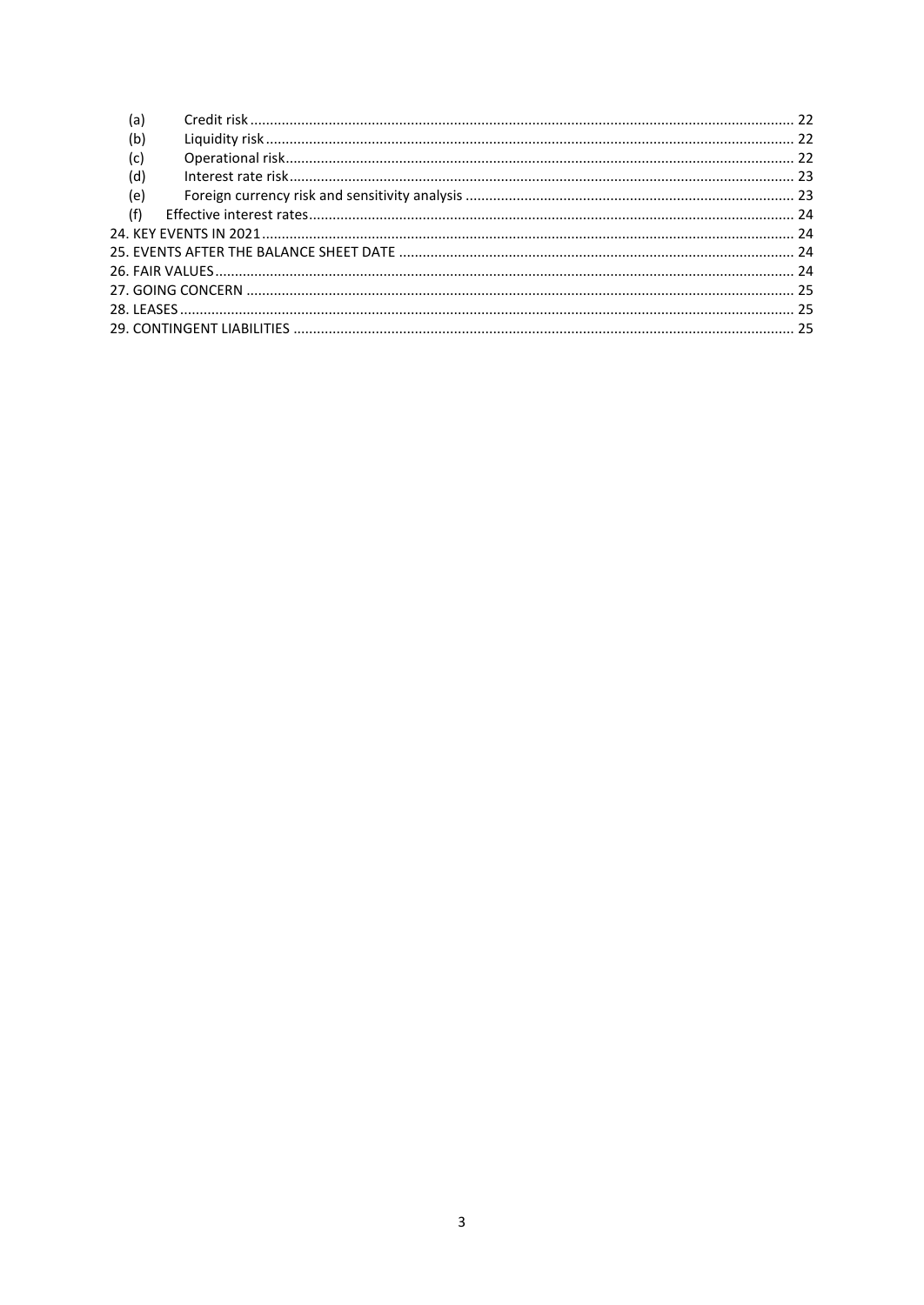| (a) |  |
|-----|--|
| (b) |  |
| (c) |  |
| (d) |  |
| (e) |  |
| (f) |  |
|     |  |
|     |  |
|     |  |
|     |  |
|     |  |
|     |  |
|     |  |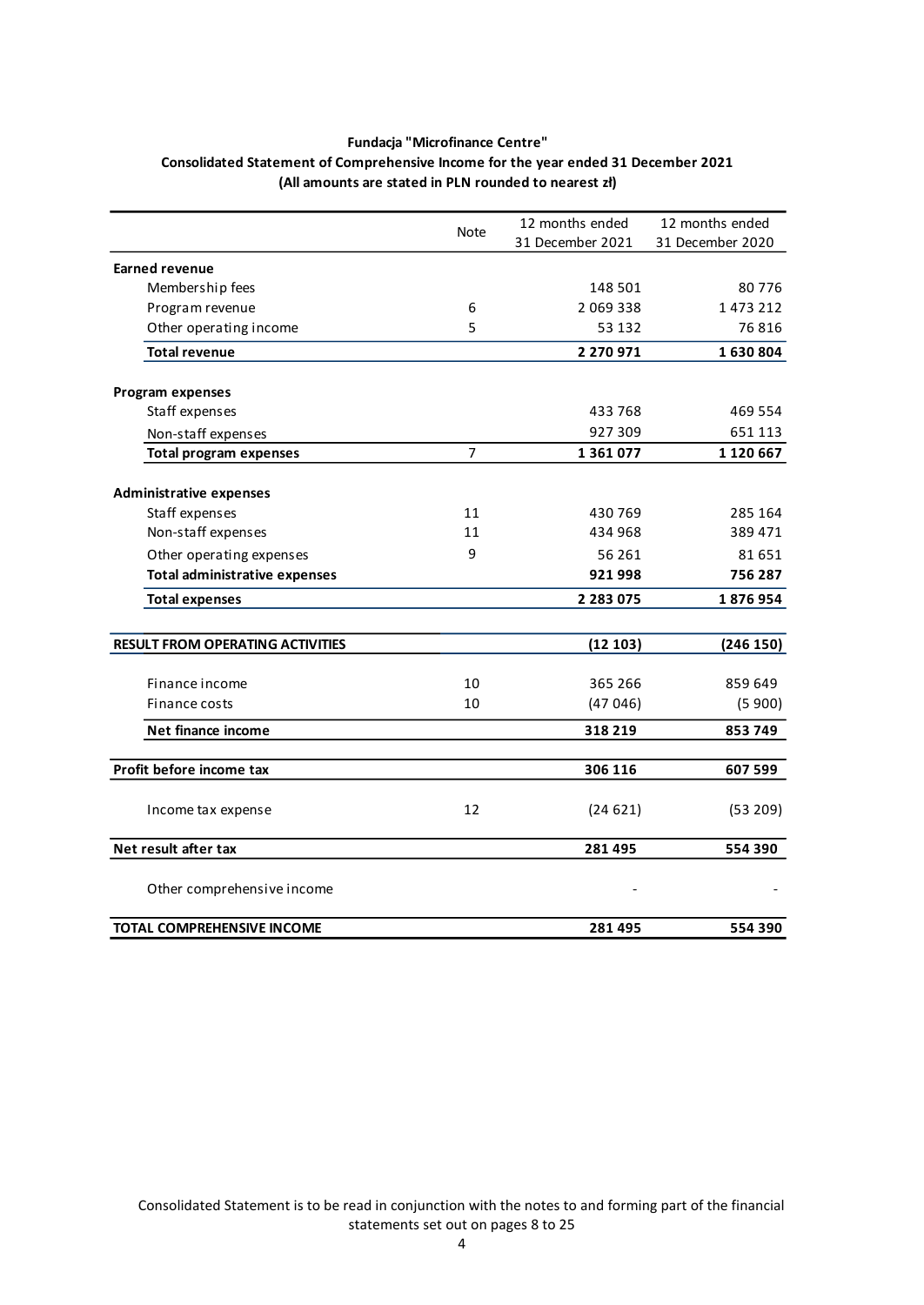|                                         |                | 12 months ended  | 12 months ended  |
|-----------------------------------------|----------------|------------------|------------------|
|                                         | <b>Note</b>    | 31 December 2021 | 31 December 2020 |
| <b>Earned revenue</b>                   |                |                  |                  |
| Membership fees                         |                | 148 501          | 80 7 7 6         |
| Program revenue                         | 6              | 2 069 338        | 1 473 212        |
| Other operating income                  | 5              | 53 132           | 76816            |
| <b>Total revenue</b>                    |                | 2 270 971        | 1630804          |
| Program expenses                        |                |                  |                  |
| Staff expenses                          |                | 433 768          | 469 554          |
| Non-staff expenses                      |                | 927 309          | 651 113          |
| <b>Total program expenses</b>           | $\overline{7}$ | 1 361 077        | 1 120 667        |
|                                         |                |                  |                  |
| <b>Administrative expenses</b>          |                |                  |                  |
| Staff expenses                          | 11             | 430 769          | 285 164          |
| Non-staff expenses                      | 11             | 434 968          | 389 471          |
| Other operating expenses                | 9              | 56 261           | 81 651           |
| <b>Total administrative expenses</b>    |                | 921 998          | 756 287          |
| <b>Total expenses</b>                   |                | 2 2 8 3 0 7 5    | 1876954          |
|                                         |                |                  |                  |
| <b>RESULT FROM OPERATING ACTIVITIES</b> |                | (12 103)         | (246 150)        |
| Finance income                          | 10             | 365 266          | 859 649          |
| <b>Finance costs</b>                    | 10             | (47046)          | (5900)           |
|                                         |                |                  |                  |
| Net finance income                      |                | 318 219          | 853 749          |
| Profit before income tax                |                | 306 116          | 607 599          |
|                                         |                |                  |                  |
| Income tax expense                      | 12             | (24621)          | (53 209)         |
| Net result after tax                    |                | 281 495          | 554 390          |
|                                         |                |                  |                  |
| Other comprehensive income              |                |                  |                  |
| <b>TOTAL COMPREHENSIVE INCOME</b>       |                | 281 495          | 554 390          |

# **Fundacja "Microfinance Centre" Consolidated Statement of Comprehensive Income for the year ended 31 December 2021 (All amounts are stated in PLN rounded to nearest zł)**

Consolidated Statement is to be read in conjunction with the notes to and forming part of the financial statements set out on pages 8 to 25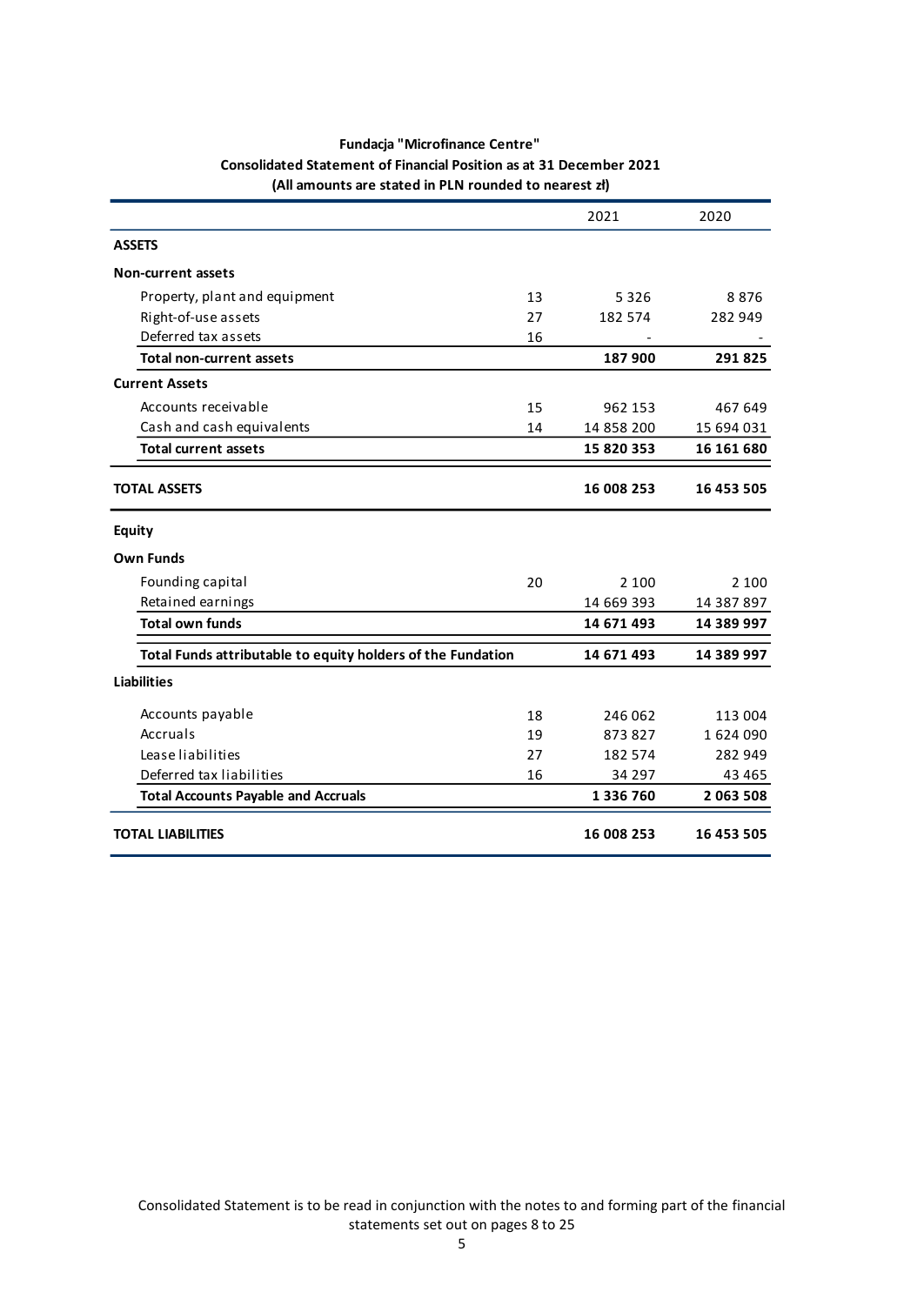|                                                             |    | 2021       | 2020       |
|-------------------------------------------------------------|----|------------|------------|
| <b>ASSETS</b>                                               |    |            |            |
| <b>Non-current assets</b>                                   |    |            |            |
| Property, plant and equipment                               | 13 | 5 3 2 6    | 8876       |
| Right-of-use assets                                         | 27 | 182 574    | 282 949    |
| Deferred tax assets                                         | 16 |            |            |
| <b>Total non-current assets</b>                             |    | 187 900    | 291825     |
| <b>Current Assets</b>                                       |    |            |            |
| Accounts receivable                                         | 15 | 962 153    | 467 649    |
| Cash and cash equivalents                                   | 14 | 14 858 200 | 15 694 031 |
| <b>Total current assets</b>                                 |    | 15 820 353 | 16 161 680 |
| <b>TOTAL ASSETS</b>                                         |    | 16 008 253 | 16 453 505 |
| Equity                                                      |    |            |            |
| <b>Own Funds</b>                                            |    |            |            |
| Founding capital                                            | 20 | 2 1 0 0    | 2 1 0 0    |
| Retained earnings                                           |    | 14 669 393 | 14 387 897 |
| <b>Total own funds</b>                                      |    | 14 671 493 | 14 389 997 |
| Total Funds attributable to equity holders of the Fundation |    | 14 671 493 | 14 389 997 |
| <b>Liabilities</b>                                          |    |            |            |
| Accounts payable                                            | 18 | 246 062    | 113 004    |
| <b>Accruals</b>                                             | 19 | 873827     | 1624090    |
| Lease liabilities                                           | 27 | 182 574    | 282 949    |
| Deferred tax liabilities                                    | 16 | 34 297     | 43 4 65    |
| <b>Total Accounts Payable and Accruals</b>                  |    | 1 336 760  | 2063508    |
| <b>TOTAL LIABILITIES</b>                                    |    | 16 008 253 | 16 453 505 |

# **Fundacja "Microfinance Centre" Consolidated Statement of Financial Position as at 31 December 2021 (All amounts are stated in PLN rounded to nearest zł)**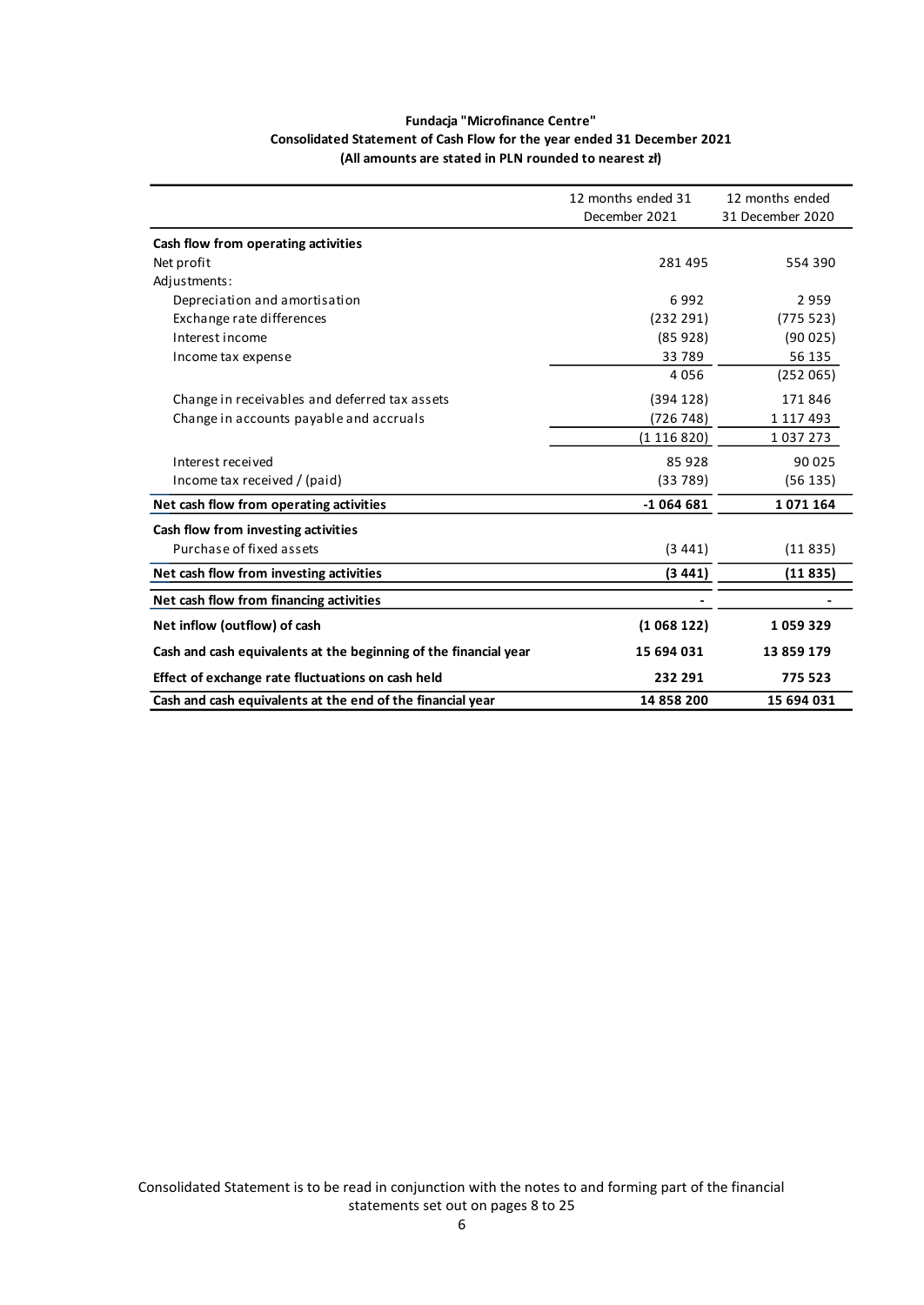|                                                                  | 12 months ended 31<br>December 2021 | 12 months ended<br>31 December 2020 |
|------------------------------------------------------------------|-------------------------------------|-------------------------------------|
| Cash flow from operating activities                              |                                     |                                     |
| Net profit                                                       | 281 495                             | 554 390                             |
| Adjustments:                                                     |                                     |                                     |
| Depreciation and amortisation                                    | 6992                                | 2959                                |
| Exchange rate differences                                        | (232 291)                           | (775523)                            |
| Interest income                                                  | (85928)                             | (90025)                             |
| Income tax expense                                               | 33789                               | 56 135                              |
|                                                                  | 4056                                | (252065)                            |
| Change in receivables and deferred tax assets                    | (394 128)                           | 171846                              |
| Change in accounts payable and accruals                          | (726748)                            | 1 117 493                           |
|                                                                  | (1 116 820)                         | 1 0 3 7 2 7 3                       |
| Interest received                                                | 85928                               | 90 025                              |
| Income tax received / (paid)                                     | (33789)                             | (56135)                             |
| Net cash flow from operating activities                          | $-1064681$                          | 1071164                             |
| Cash flow from investing activities                              |                                     |                                     |
| Purchase of fixed assets                                         | (3441)                              | (11835)                             |
| Net cash flow from investing activities                          | (3441)                              | (11835)                             |
| Net cash flow from financing activities                          |                                     |                                     |
| Net inflow (outflow) of cash                                     | (1068122)                           | 1059329                             |
| Cash and cash equivalents at the beginning of the financial year | 15 694 031                          | 13 859 179                          |
| Effect of exchange rate fluctuations on cash held                | 232 291                             | 775 523                             |
| Cash and cash equivalents at the end of the financial year       | 14 858 200                          | 15 694 031                          |

## **(All amounts are stated in PLN rounded to nearest zł) Consolidated Statement of Cash Flow for the year ended 31 December 2021 Fundacja "Microfinance Centre"**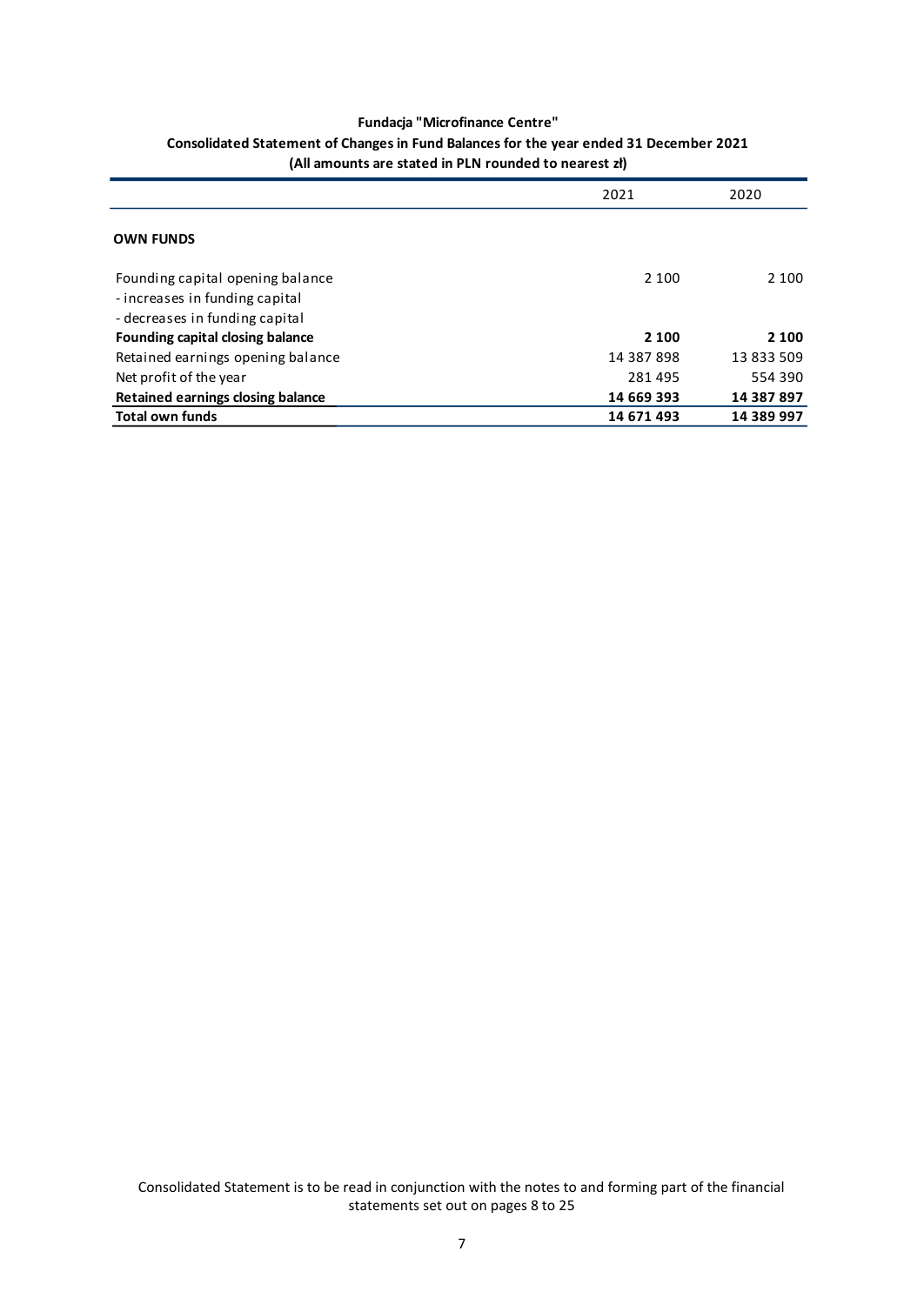# **(All amounts are stated in PLN rounded to nearest zł) Fundacja "Microfinance Centre" Consolidated Statement of Changes in Fund Balances for the year ended 31 December 2021**

|                                                                                                      | 2021       | 2020       |
|------------------------------------------------------------------------------------------------------|------------|------------|
| <b>OWN FUNDS</b>                                                                                     |            |            |
| Founding capital opening balance<br>- increases in funding capital<br>- decreases in funding capital | 2 100      | 2 1 0 0    |
| Founding capital closing balance                                                                     | 2 1 0 0    | 2 100      |
| Retained earnings opening balance                                                                    | 14 387 898 | 13 833 509 |
| Net profit of the year                                                                               | 281495     | 554 390    |
| Retained earnings closing balance                                                                    | 14 669 393 | 14 387 897 |
| <b>Total own funds</b>                                                                               | 14 671 493 | 14 389 997 |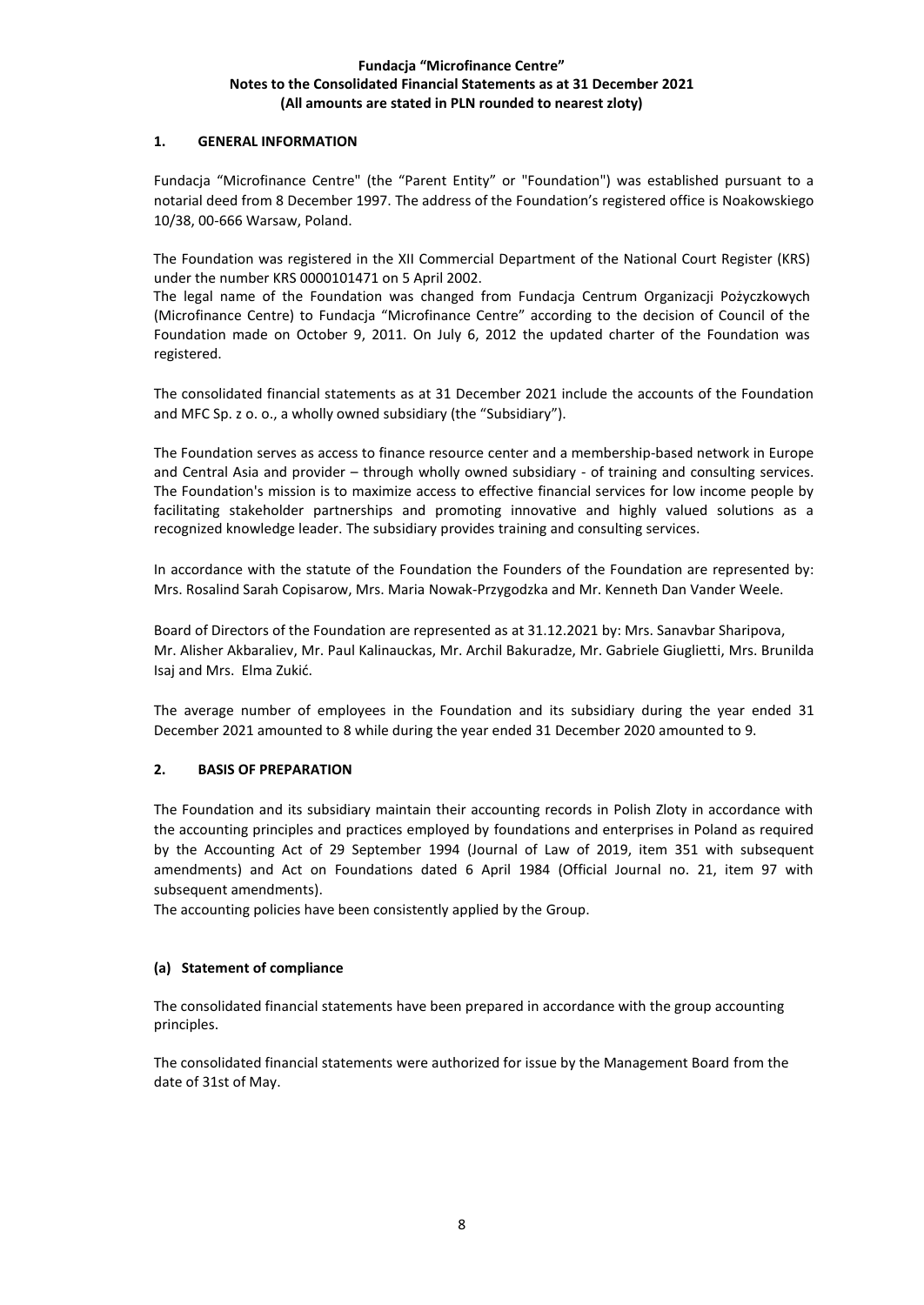## <span id="page-7-0"></span>**1. GENERAL INFORMATION**

Fundacja "Microfinance Centre" (the "Parent Entity" or "Foundation") was established pursuant to a notarial deed from 8 December 1997. The address of the Foundation's registered office is Noakowskiego 10/38, 00-666 Warsaw, Poland.

The Foundation was registered in the XII Commercial Department of the National Court Register (KRS) under the number KRS 0000101471 on 5 April 2002.

The legal name of the Foundation was changed from Fundacja Centrum Organizacji Pożyczkowych (Microfinance Centre) to Fundacja "Microfinance Centre" according to the decision of Council of the Foundation made on October 9, 2011. On July 6, 2012 the updated charter of the Foundation was registered.

The consolidated financial statements as at 31 December 2021 include the accounts of the Foundation and MFC Sp. z o. o., a wholly owned subsidiary (the "Subsidiary").

The Foundation serves as access to finance resource center and a membership-based network in Europe and Central Asia and provider – through wholly owned subsidiary - of training and consulting services. The Foundation's mission is to maximize access to effective financial services for low income people by facilitating stakeholder partnerships and promoting innovative and highly valued solutions as a recognized knowledge leader. The subsidiary provides training and consulting services.

In accordance with the statute of the Foundation the Founders of the Foundation are represented by: Mrs. Rosalind Sarah Copisarow, Mrs. Maria Nowak-Przygodzka and Mr. Kenneth Dan Vander Weele.

Board of Directors of the Foundation are represented as at 31.12.2021 by: Mrs. Sanavbar Sharipova, Mr. Alisher Akbaraliev, Mr. Paul Kalinauckas, Mr. Archil Bakuradze, Mr. Gabriele Giuglietti, Mrs. Brunilda Isaj and Mrs. Elma Zukić.

The average number of employees in the Foundation and its subsidiary during the year ended 31 December 2021 amounted to 8 while during the year ended 31 December 2020 amounted to 9.

## <span id="page-7-1"></span>**2. BASIS OF PREPARATION**

The Foundation and its subsidiary maintain their accounting records in Polish Zloty in accordance with the accounting principles and practices employed by foundations and enterprises in Poland as required by the Accounting Act of 29 September 1994 (Journal of Law of 2019, item 351 with subsequent amendments) and Act on Foundations dated 6 April 1984 (Official Journal no. 21, item 97 with subsequent amendments).

The accounting policies have been consistently applied by the Group.

## <span id="page-7-2"></span>**(a) Statement of compliance**

The consolidated financial statements have been prepared in accordance with the group accounting principles.

The consolidated financial statements were authorized for issue by the Management Board from the date of 31st of May.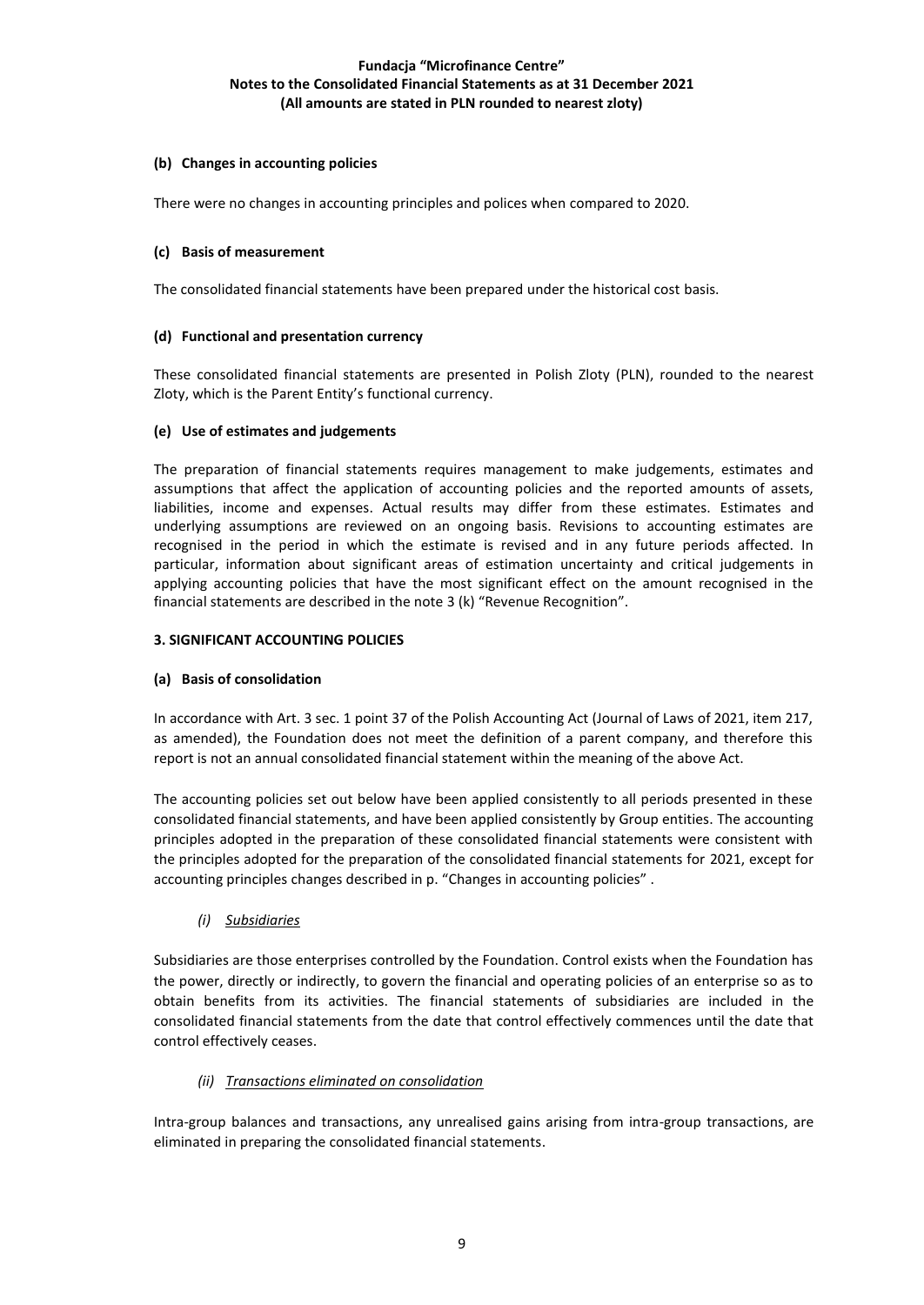## <span id="page-8-0"></span>**(b) Changes in accounting policies**

There were no changes in accounting principles and polices when compared to 2020.

## <span id="page-8-1"></span>**(c) Basis of measurement**

The consolidated financial statements have been prepared under the historical cost basis.

## <span id="page-8-2"></span>**(d) Functional and presentation currency**

These consolidated financial statements are presented in Polish Zloty (PLN), rounded to the nearest Zloty, which is the Parent Entity's functional currency.

## <span id="page-8-3"></span>**(e) Use of estimates and judgements**

The preparation of financial statements requires management to make judgements, estimates and assumptions that affect the application of accounting policies and the reported amounts of assets, liabilities, income and expenses. Actual results may differ from these estimates. Estimates and underlying assumptions are reviewed on an ongoing basis. Revisions to accounting estimates are recognised in the period in which the estimate is revised and in any future periods affected. In particular, information about significant areas of estimation uncertainty and critical judgements in applying accounting policies that have the most significant effect on the amount recognised in the financial statements are described in the note 3 (k) "Revenue Recognition".

## <span id="page-8-4"></span>**3. SIGNIFICANT ACCOUNTING POLICIES**

# <span id="page-8-5"></span>**(a) Basis of consolidation**

In accordance with Art. 3 sec. 1 point 37 of the Polish Accounting Act (Journal of Laws of 2021, item 217, as amended), the Foundation does not meet the definition of a parent company, and therefore this report is not an annual consolidated financial statement within the meaning of the above Act.

The accounting policies set out below have been applied consistently to all periods presented in these consolidated financial statements, and have been applied consistently by Group entities. The accounting principles adopted in the preparation of these consolidated financial statements were consistent with the principles adopted for the preparation of the consolidated financial statements for 2021, except for accounting principles changes described in p. "Changes in accounting policies" .

# *(i) Subsidiaries*

<span id="page-8-6"></span>Subsidiaries are those enterprises controlled by the Foundation. Control exists when the Foundation has the power, directly or indirectly, to govern the financial and operating policies of an enterprise so as to obtain benefits from its activities. The financial statements of subsidiaries are included in the consolidated financial statements from the date that control effectively commences until the date that control effectively ceases.

# *(ii) Transactions eliminated on consolidation*

<span id="page-8-7"></span>Intra-group balances and transactions, any unrealised gains arising from intra-group transactions, are eliminated in preparing the consolidated financial statements.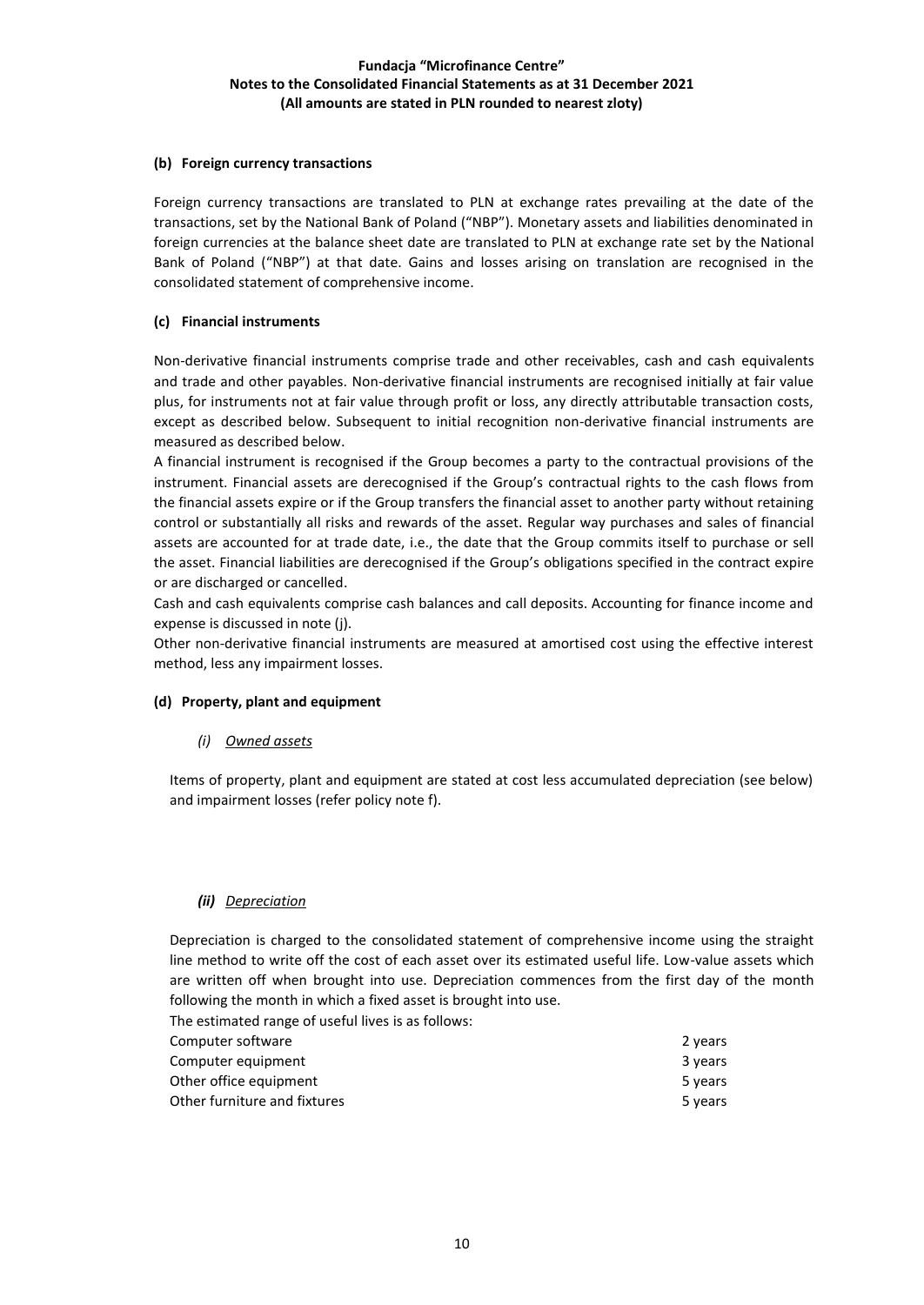## <span id="page-9-0"></span>**(b) Foreign currency transactions**

Foreign currency transactions are translated to PLN at exchange rates prevailing at the date of the transactions, set by the National Bank of Poland ("NBP"). Monetary assets and liabilities denominated in foreign currencies at the balance sheet date are translated to PLN at exchange rate set by the National Bank of Poland ("NBP") at that date. Gains and losses arising on translation are recognised in the consolidated statement of comprehensive income.

## <span id="page-9-1"></span>**(c) Financial instruments**

Non-derivative financial instruments comprise trade and other receivables, cash and cash equivalents and trade and other payables. Non-derivative financial instruments are recognised initially at fair value plus, for instruments not at fair value through profit or loss, any directly attributable transaction costs, except as described below. Subsequent to initial recognition non-derivative financial instruments are measured as described below.

A financial instrument is recognised if the Group becomes a party to the contractual provisions of the instrument. Financial assets are derecognised if the Group's contractual rights to the cash flows from the financial assets expire or if the Group transfers the financial asset to another party without retaining control or substantially all risks and rewards of the asset. Regular way purchases and sales of financial assets are accounted for at trade date, i.e., the date that the Group commits itself to purchase or sell the asset. Financial liabilities are derecognised if the Group's obligations specified in the contract expire or are discharged or cancelled.

Cash and cash equivalents comprise cash balances and call deposits. Accounting for finance income and expense is discussed in note (j).

Other non-derivative financial instruments are measured at amortised cost using the effective interest method, less any impairment losses.

## <span id="page-9-3"></span><span id="page-9-2"></span>**(d) Property, plant and equipment**

## *(i) Owned assets*

Items of property, plant and equipment are stated at cost less accumulated depreciation (see below) and impairment losses (refer policy note f).

# *(ii) Depreciation*

<span id="page-9-4"></span>Depreciation is charged to the consolidated statement of comprehensive income using the straight line method to write off the cost of each asset over its estimated useful life. Low-value assets which are written off when brought into use. Depreciation commences from the first day of the month following the month in which a fixed asset is brought into use.

| 2 years |
|---------|
| 3 years |
| 5 years |
| 5 years |
|         |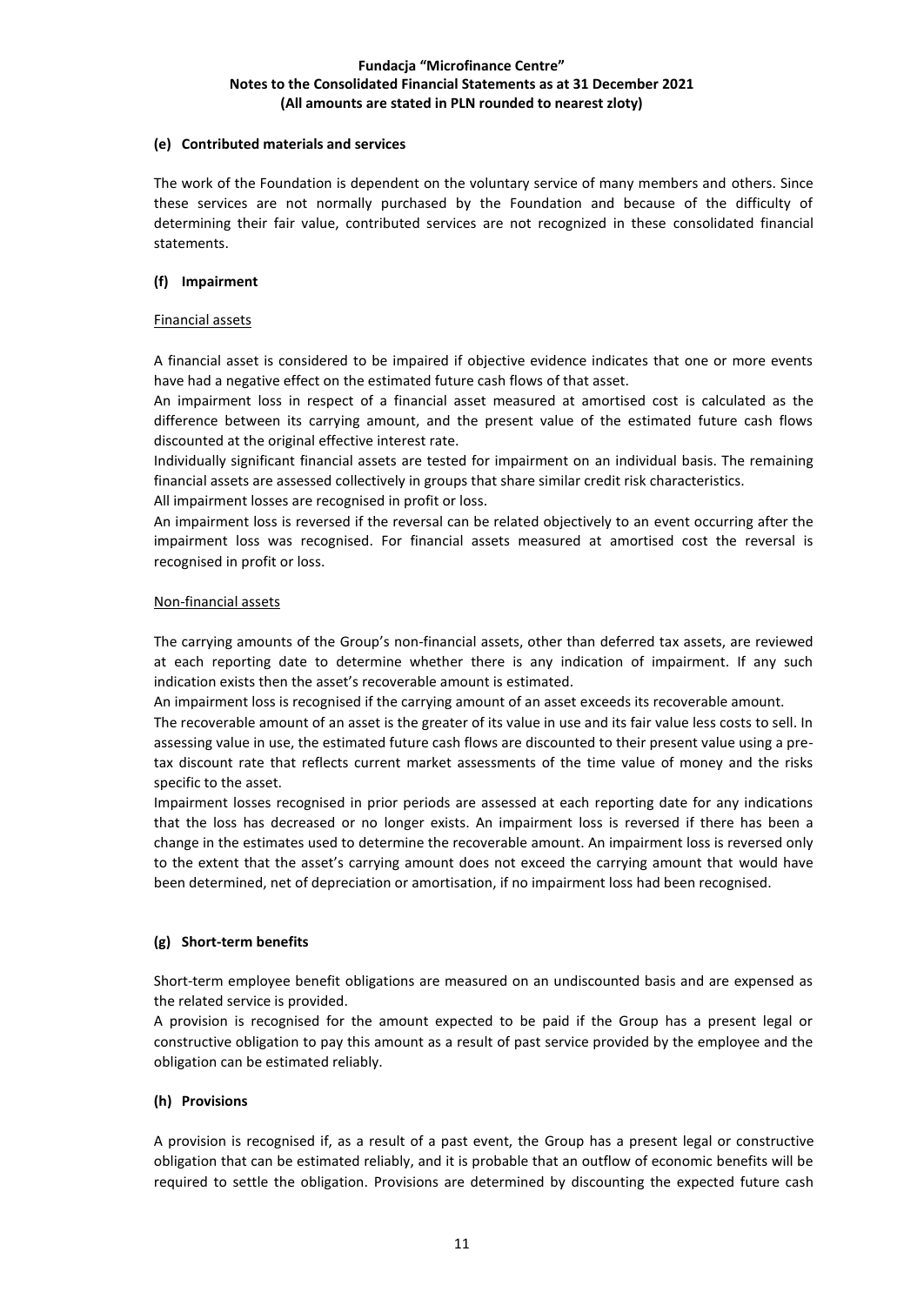## <span id="page-10-0"></span>**(e) Contributed materials and services**

The work of the Foundation is dependent on the voluntary service of many members and others. Since these services are not normally purchased by the Foundation and because of the difficulty of determining their fair value, contributed services are not recognized in these consolidated financial statements.

## <span id="page-10-1"></span>**(f) Impairment**

## Financial assets

A financial asset is considered to be impaired if objective evidence indicates that one or more events have had a negative effect on the estimated future cash flows of that asset.

An impairment loss in respect of a financial asset measured at amortised cost is calculated as the difference between its carrying amount, and the present value of the estimated future cash flows discounted at the original effective interest rate.

Individually significant financial assets are tested for impairment on an individual basis. The remaining financial assets are assessed collectively in groups that share similar credit risk characteristics.

All impairment losses are recognised in profit or loss.

An impairment loss is reversed if the reversal can be related objectively to an event occurring after the impairment loss was recognised. For financial assets measured at amortised cost the reversal is recognised in profit or loss.

## Non-financial assets

The carrying amounts of the Group's non-financial assets, other than deferred tax assets, are reviewed at each reporting date to determine whether there is any indication of impairment. If any such indication exists then the asset's recoverable amount is estimated.

An impairment loss is recognised if the carrying amount of an asset exceeds its recoverable amount.

The recoverable amount of an asset is the greater of its value in use and its fair value less costs to sell. In assessing value in use, the estimated future cash flows are discounted to their present value using a pretax discount rate that reflects current market assessments of the time value of money and the risks specific to the asset.

Impairment losses recognised in prior periods are assessed at each reporting date for any indications that the loss has decreased or no longer exists. An impairment loss is reversed if there has been a change in the estimates used to determine the recoverable amount. An impairment loss is reversed only to the extent that the asset's carrying amount does not exceed the carrying amount that would have been determined, net of depreciation or amortisation, if no impairment loss had been recognised.

# <span id="page-10-2"></span>**(g) Short-term benefits**

Short-term employee benefit obligations are measured on an undiscounted basis and are expensed as the related service is provided.

A provision is recognised for the amount expected to be paid if the Group has a present legal or constructive obligation to pay this amount as a result of past service provided by the employee and the obligation can be estimated reliably.

## <span id="page-10-3"></span>**(h) Provisions**

A provision is recognised if, as a result of a past event, the Group has a present legal or constructive obligation that can be estimated reliably, and it is probable that an outflow of economic benefits will be required to settle the obligation. Provisions are determined by discounting the expected future cash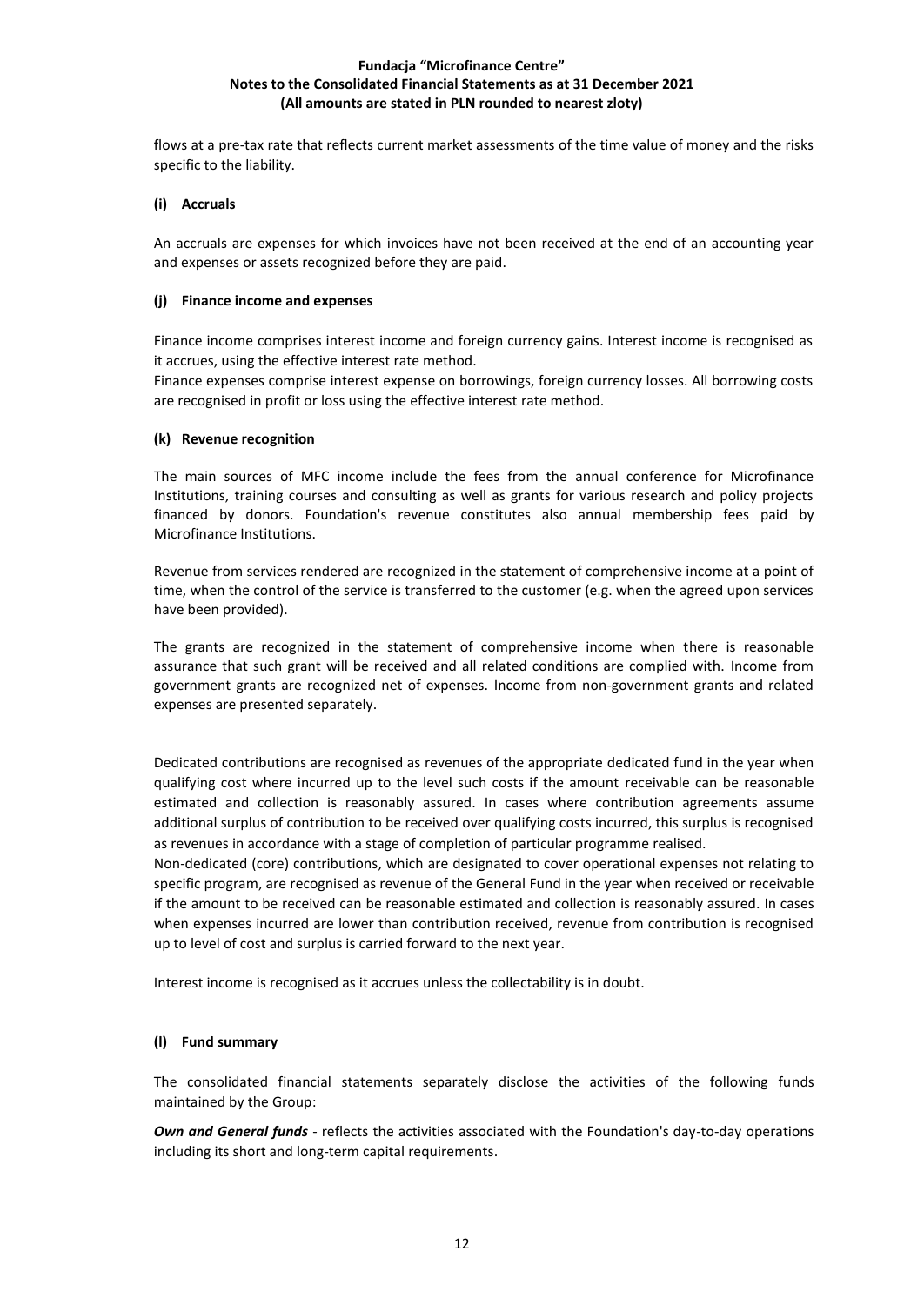flows at a pre-tax rate that reflects current market assessments of the time value of money and the risks specific to the liability.

## <span id="page-11-0"></span>**(i) Accruals**

An accruals are expenses for which invoices have not been received at the end of an accounting year and expenses or assets recognized before they are paid.

#### <span id="page-11-1"></span>**(j) Finance income and expenses**

Finance income comprises interest income and foreign currency gains. Interest income is recognised as it accrues, using the effective interest rate method.

Finance expenses comprise interest expense on borrowings, foreign currency losses. All borrowing costs are recognised in profit or loss using the effective interest rate method.

## <span id="page-11-2"></span>**(k) Revenue recognition**

The main sources of MFC income include the fees from the annual conference for Microfinance Institutions, training courses and consulting as well as grants for various research and policy projects financed by donors. Foundation's revenue constitutes also annual membership fees paid by Microfinance Institutions.

Revenue from services rendered are recognized in the statement of comprehensive income at a point of time, when the control of the service is transferred to the customer (e.g. when the agreed upon services have been provided).

The grants are recognized in the statement of comprehensive income when there is reasonable assurance that such grant will be received and all related conditions are complied with. Income from government grants are recognized net of expenses. Income from non-government grants and related expenses are presented separately.

Dedicated contributions are recognised as revenues of the appropriate dedicated fund in the year when qualifying cost where incurred up to the level such costs if the amount receivable can be reasonable estimated and collection is reasonably assured. In cases where contribution agreements assume additional surplus of contribution to be received over qualifying costs incurred, this surplus is recognised as revenues in accordance with a stage of completion of particular programme realised.

Non-dedicated (core) contributions, which are designated to cover operational expenses not relating to specific program, are recognised as revenue of the General Fund in the year when received or receivable if the amount to be received can be reasonable estimated and collection is reasonably assured. In cases when expenses incurred are lower than contribution received, revenue from contribution is recognised up to level of cost and surplus is carried forward to the next year.

Interest income is recognised as it accrues unless the collectability is in doubt.

## <span id="page-11-3"></span>**(l) Fund summary**

The consolidated financial statements separately disclose the activities of the following funds maintained by the Group:

*Own and General funds* - reflects the activities associated with the Foundation's day-to-day operations including its short and long-term capital requirements.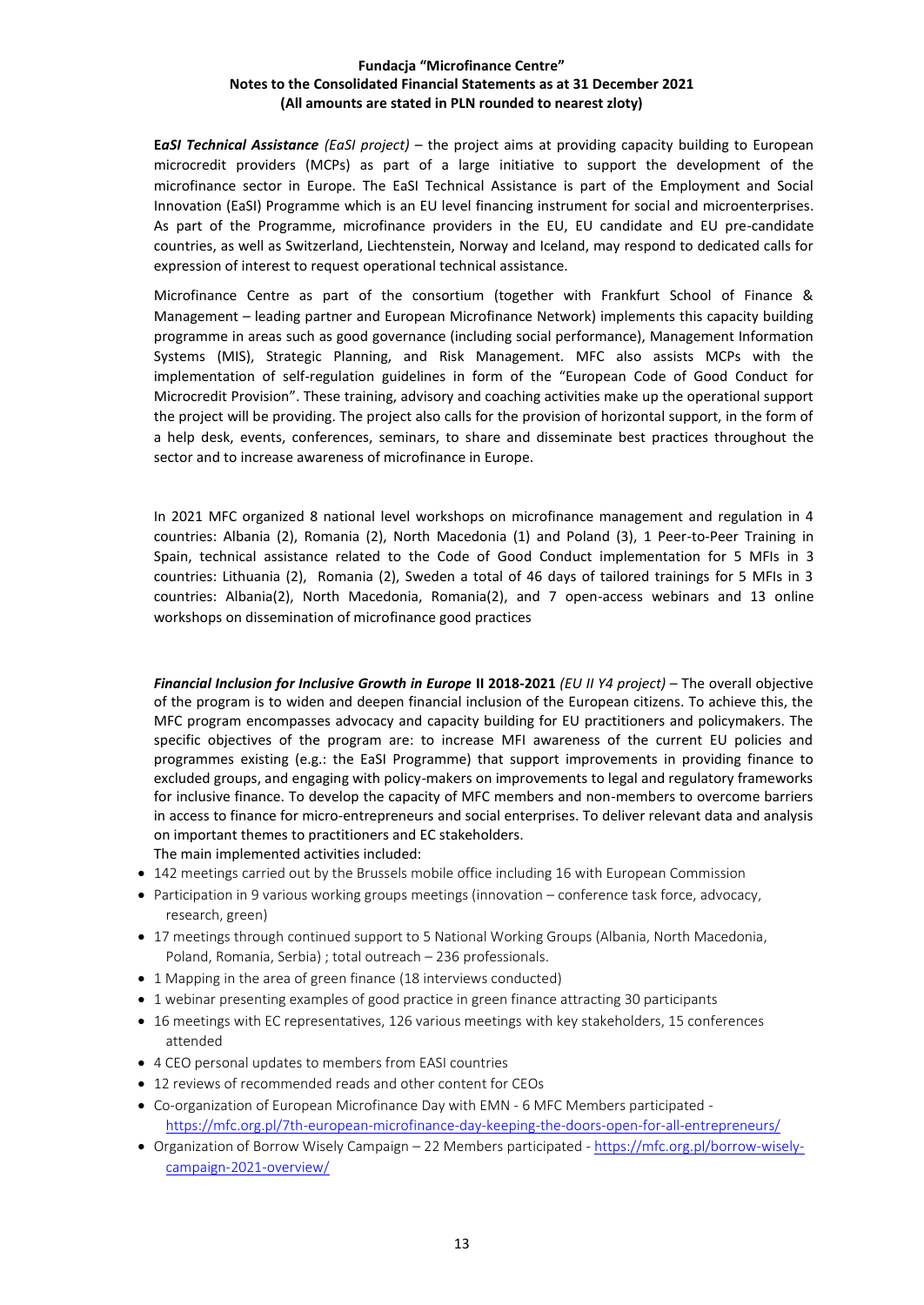**E***aSI Technical Assistance (EaSI project)* – the project aims at providing capacity building to European microcredit providers (MCPs) as part of a large initiative to support the development of the microfinance sector in Europe. The EaSI Technical Assistance is part of the Employment and Social Innovation (EaSI) Programme which is an EU level financing instrument for social and microenterprises. As part of the Programme, microfinance providers in the EU, EU candidate and EU pre-candidate countries, as well as Switzerland, Liechtenstein, Norway and Iceland, may respond to dedicated calls for expression of interest to request operational technical assistance.

Microfinance Centre as part of the consortium (together with Frankfurt School of Finance & Management – leading partner and European Microfinance Network) implements this capacity building programme in areas such as good governance (including social performance), Management Information Systems (MIS), Strategic Planning, and Risk Management. MFC also assists MCPs with the implementation of self-regulation guidelines in form of the "European Code of Good Conduct for Microcredit Provision". These training, advisory and coaching activities make up the operational support the project will be providing. The project also calls for the provision of horizontal support, in the form of a help desk, events, conferences, seminars, to share and disseminate best practices throughout the sector and to increase awareness of microfinance in Europe.

In 2021 MFC organized 8 national level workshops on microfinance management and regulation in 4 countries: Albania (2), Romania (2), North Macedonia (1) and Poland (3), 1 Peer-to-Peer Training in Spain, technical assistance related to the Code of Good Conduct implementation for 5 MFIs in 3 countries: Lithuania (2), Romania (2), Sweden a total of 46 days of tailored trainings for 5 MFIs in 3 countries: Albania(2), North Macedonia, Romania(2), and 7 open-access webinars and 13 online workshops on dissemination of microfinance good practices

*Financial Inclusion for Inclusive Growth in Europe* **II 2018-2021** *(EU II Y4 project)* – The overall objective of the program is to widen and deepen financial inclusion of the European citizens. To achieve this, the MFC program encompasses advocacy and capacity building for EU practitioners and policymakers. The specific objectives of the program are: to increase MFI awareness of the current EU policies and programmes existing (e.g.: the EaSI Programme) that support improvements in providing finance to excluded groups, and engaging with policy-makers on improvements to legal and regulatory frameworks for inclusive finance. To develop the capacity of MFC members and non-members to overcome barriers in access to finance for micro-entrepreneurs and social enterprises. To deliver relevant data and analysis on important themes to practitioners and EC stakeholders.

- The main implemented activities included:
- 142 meetings carried out by the Brussels mobile office including 16 with European Commission
- Participation in 9 various working groups meetings (innovation conference task force, advocacy, research, green)
- 17 meetings through continued support to 5 National Working Groups (Albania, North Macedonia, Poland, Romania, Serbia) ; total outreach – 236 professionals.
- 1 Mapping in the area of green finance (18 interviews conducted)
- 1 webinar presenting examples of good practice in green finance attracting 30 participants
- 16 meetings with EC representatives, 126 various meetings with key stakeholders, 15 conferences attended
- 4 CEO personal updates to members from EASI countries
- 12 reviews of recommended reads and other content for CEOs
- Co-organization of European Microfinance Day with EMN 6 MFC Members participated <https://mfc.org.pl/7th-european-microfinance-day-keeping-the-doors-open-for-all-entrepreneurs/>
- Organization of Borrow Wisely Campaign 22 Members participated [https://mfc.org.pl/borrow-wisely](https://mfc.org.pl/borrow-wisely-campaign-2021-overview/)[campaign-2021-overview/](https://mfc.org.pl/borrow-wisely-campaign-2021-overview/)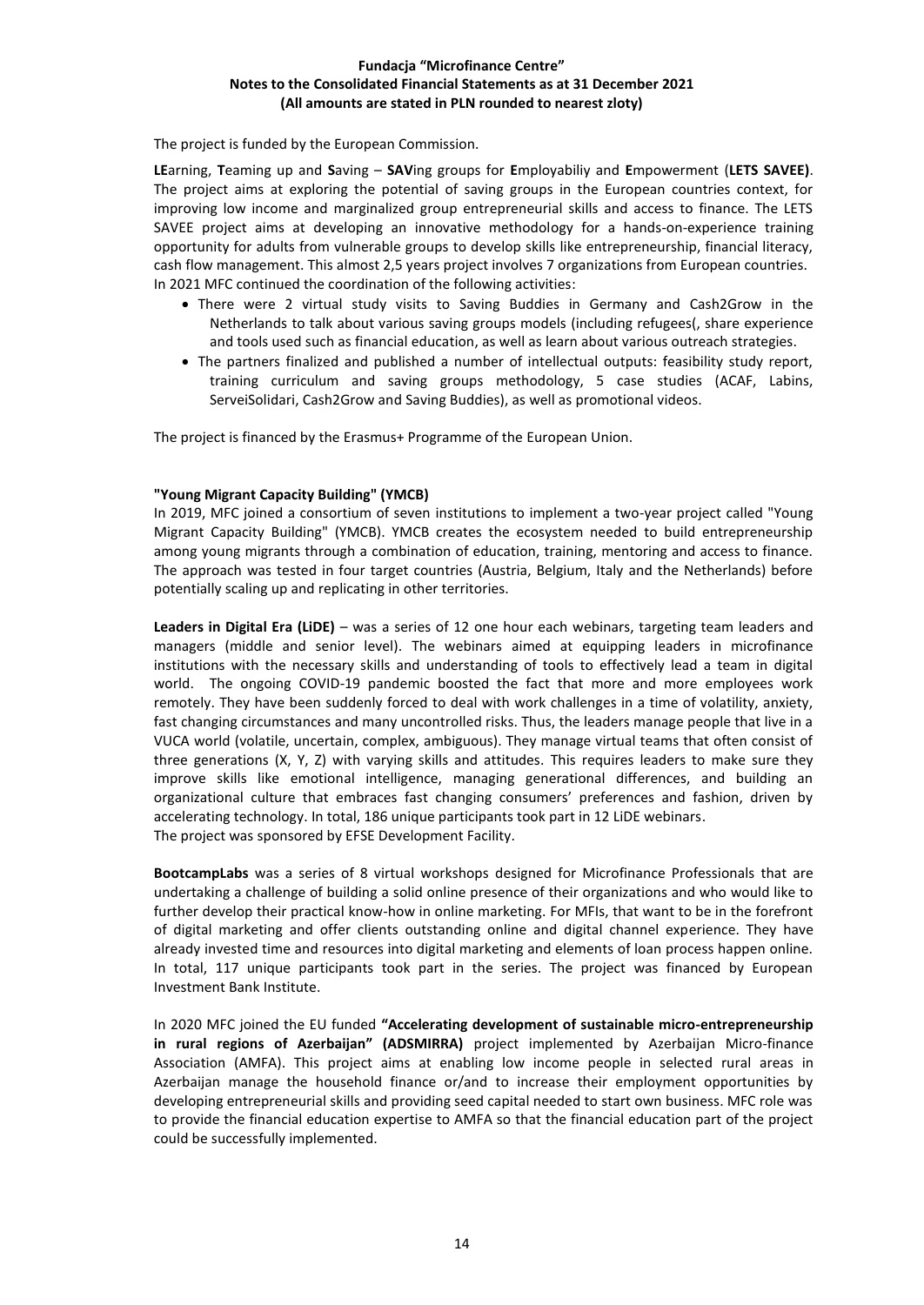The project is funded by the European Commission.

**LE**arning, **T**eaming up and **S**aving – **SAV**ing groups for **E**mployabiliy and **E**mpowerment (**LETS SAVEE)**. The project aims at exploring the potential of saving groups in the European countries context, for improving low income and marginalized group entrepreneurial skills and access to finance. The LETS SAVEE project aims at developing an innovative methodology for a hands-on-experience training opportunity for adults from vulnerable groups to develop skills like entrepreneurship, financial literacy, cash flow management. This almost 2,5 years project involves 7 organizations from European countries. In 2021 MFC continued the coordination of the following activities:

- There were 2 virtual study visits to Saving Buddies in Germany and Cash2Grow in the Netherlands to talk about various saving groups models (including refugees(, share experience and tools used such as financial education, as well as learn about various outreach strategies.
- The partners finalized and published a number of intellectual outputs: feasibility study report, training curriculum and saving groups methodology, 5 case studies (ACAF, Labins, ServeiSolidari, Cash2Grow and Saving Buddies), as well as promotional videos.

The project is financed by the Erasmus+ Programme of the European Union.

## **"Young Migrant Capacity Building" (YMCB)**

In 2019, MFC joined a consortium of seven institutions to implement a two-year project called "Young Migrant Capacity Building" (YMCB). YMCB creates the ecosystem needed to build entrepreneurship among young migrants through a combination of education, training, mentoring and access to finance. The approach was tested in four target countries (Austria, Belgium, Italy and the Netherlands) before potentially scaling up and replicating in other territories.

**Leaders in Digital Era (LiDE)** – was a series of 12 one hour each webinars, targeting team leaders and managers (middle and senior level). The webinars aimed at equipping leaders in microfinance institutions with the necessary skills and understanding of tools to effectively lead a team in digital world. The ongoing COVID-19 pandemic boosted the fact that more and more employees work remotely. They have been suddenly forced to deal with work challenges in a time of volatility, anxiety, fast changing circumstances and many uncontrolled risks. Thus, the leaders manage people that live in a VUCA world (volatile, uncertain, complex, ambiguous). They manage virtual teams that often consist of three generations (X, Y, Z) with varying skills and attitudes. This requires leaders to make sure they improve skills like emotional intelligence, managing generational differences, and building an organizational culture that embraces fast changing consumers' preferences and fashion, driven by accelerating technology. In total, 186 unique participants took part in 12 LiDE webinars. The project was sponsored by EFSE Development Facility.

**BootcampLabs** was a series of 8 virtual workshops designed for Microfinance Professionals that are undertaking a challenge of building a solid online presence of their organizations and who would like to further develop their practical know-how in online marketing. For MFIs, that want to be in the forefront of digital marketing and offer clients outstanding online and digital channel experience. They have already invested time and resources into digital marketing and elements of loan process happen online. In total, 117 unique participants took part in the series. The project was financed by European Investment Bank Institute.

In 2020 MFC joined the EU funded **"Accelerating development of sustainable micro-entrepreneurship in rural regions of Azerbaijan" (ADSMIRRA)** project implemented by Azerbaijan Micro-finance Association (AMFA). This project aims at enabling low income people in selected rural areas in Azerbaijan manage the household finance or/and to increase their employment opportunities by developing entrepreneurial skills and providing seed capital needed to start own business. MFC role was to provide the financial education expertise to AMFA so that the financial education part of the project could be successfully implemented.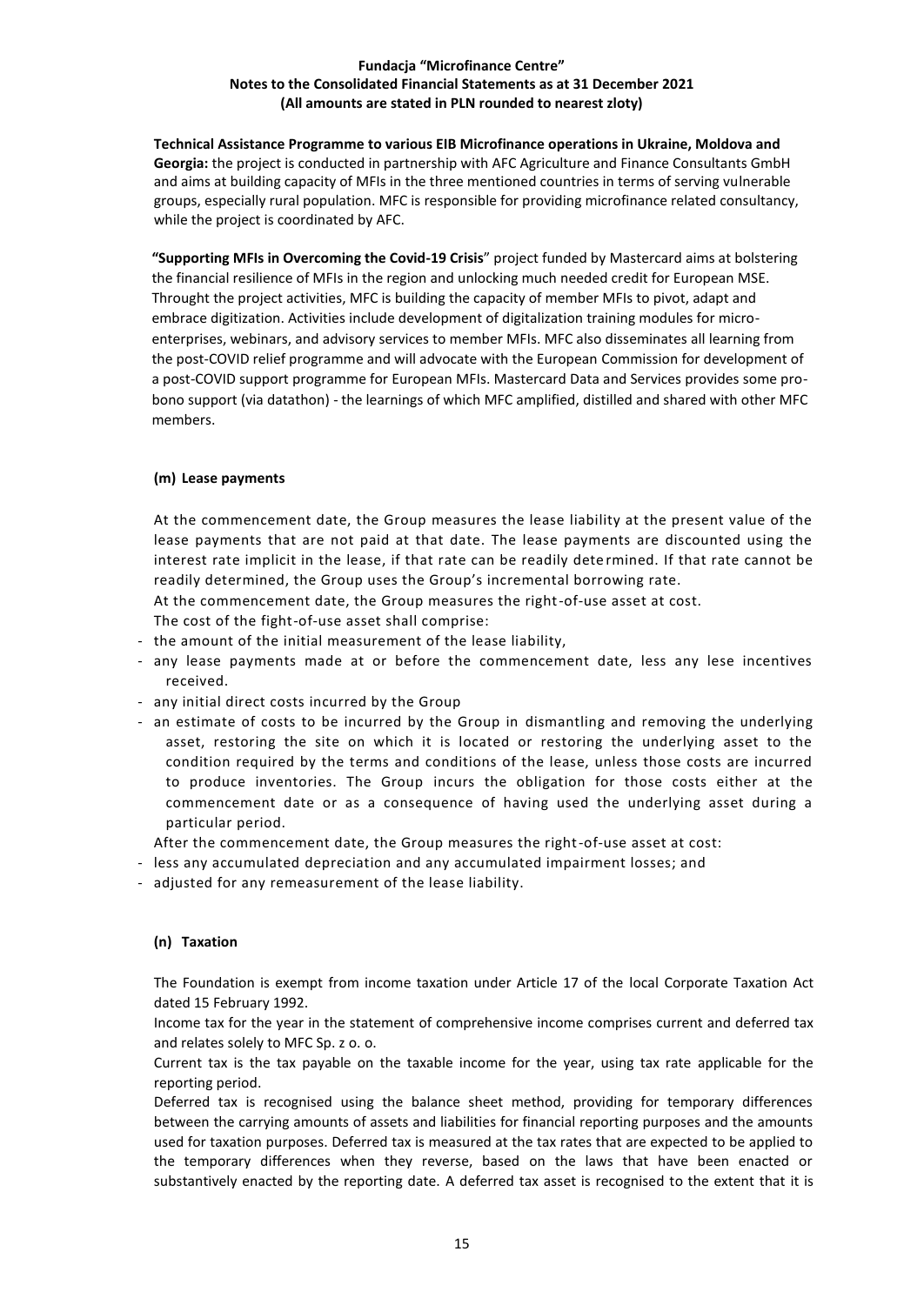## **Technical Assistance Programme to various EIB Microfinance operations in Ukraine, Moldova and**

**Georgia:** the project is conducted in partnership with AFC Agriculture and Finance Consultants GmbH and aims at building capacity of MFIs in the three mentioned countries in terms of serving vulnerable groups, especially rural population. MFC is responsible for providing microfinance related consultancy, while the project is coordinated by AFC.

**"Supporting MFIs in Overcoming the Covid-19 Crisis**" project funded by Mastercard aims at bolstering the financial resilience of MFIs in the region and unlocking much needed credit for European MSE. Throught the project activities, MFC is building the capacity of member MFIs to pivot, adapt and embrace digitization. Activities include development of digitalization training modules for microenterprises, webinars, and advisory services to member MFIs. MFC also disseminates all learning from the post-COVID relief programme and will advocate with the European Commission for development of a post-COVID support programme for European MFIs. Mastercard Data and Services provides some probono support (via datathon) - the learnings of which MFC amplified, distilled and shared with other MFC members.

## <span id="page-14-0"></span>**(m) Lease payments**

At the commencement date, the Group measures the lease liability at the present value of the lease payments that are not paid at that date. The lease payments are discounted using the interest rate implicit in the lease, if that rate can be readily determined. If that rate cannot be readily determined, the Group uses the Group's incremental borrowing rate.

At the commencement date, the Group measures the right-of-use asset at cost.

The cost of the fight-of-use asset shall comprise:

- the amount of the initial measurement of the lease liability,
- any lease payments made at or before the commencement date, less any lese incentives received.
- any initial direct costs incurred by the Group
- an estimate of costs to be incurred by the Group in dismantling and removing the underlying asset, restoring the site on which it is located or restoring the underlying asset to the condition required by the terms and conditions of the lease, unless those costs are incurred to produce inventories. The Group incurs the obligation for those costs either at the commencement date or as a consequence of having used the underlying asset during a particular period.

After the commencement date, the Group measures the right-of-use asset at cost:

- less any accumulated depreciation and any accumulated impairment losses; and
- adjusted for any remeasurement of the lease liability.

## <span id="page-14-1"></span>**(n) Taxation**

The Foundation is exempt from income taxation under Article 17 of the local Corporate Taxation Act dated 15 February 1992.

Income tax for the year in the statement of comprehensive income comprises current and deferred tax and relates solely to MFC Sp. z o. o.

Current tax is the tax payable on the taxable income for the year, using tax rate applicable for the reporting period.

Deferred tax is recognised using the balance sheet method, providing for temporary differences between the carrying amounts of assets and liabilities for financial reporting purposes and the amounts used for taxation purposes. Deferred tax is measured at the tax rates that are expected to be applied to the temporary differences when they reverse, based on the laws that have been enacted or substantively enacted by the reporting date. A deferred tax asset is recognised to the extent that it is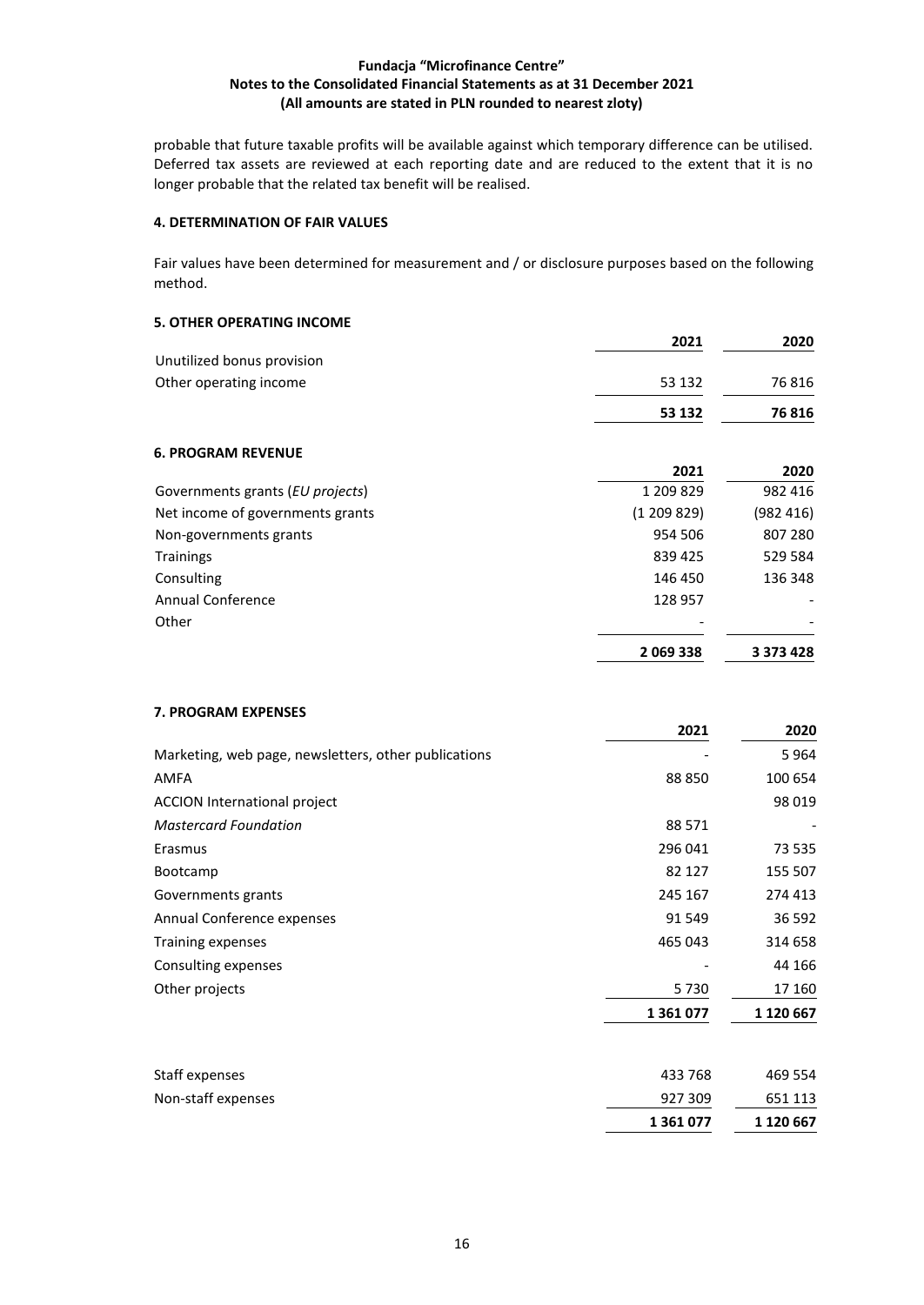probable that future taxable profits will be available against which temporary difference can be utilised. Deferred tax assets are reviewed at each reporting date and are reduced to the extent that it is no longer probable that the related tax benefit will be realised.

#### <span id="page-15-0"></span>**4. DETERMINATION OF FAIR VALUES**

Fair values have been determined for measurement and / or disclosure purposes based on the following method.

#### <span id="page-15-1"></span>**5. OTHER OPERATING INCOME**

<span id="page-15-2"></span>**6. PROGRAM REVENUE**

|                            | 2021   | 2020  |
|----------------------------|--------|-------|
| Unutilized bonus provision |        |       |
| Other operating income     | 53 132 | 76816 |
|                            | 53 132 | 76816 |
|                            |        |       |

|                                  | 2021      | 2020          |
|----------------------------------|-----------|---------------|
| Governments grants (EU projects) | 1 209 829 | 982 416       |
| Net income of governments grants | (1209829) | (982 416)     |
| Non-governments grants           | 954 506   | 807 280       |
| <b>Trainings</b>                 | 839 425   | 529 584       |
| Consulting                       | 146 450   | 136 348       |
| <b>Annual Conference</b>         | 128 957   |               |
| Other                            |           |               |
|                                  | 2 069 338 | 3 3 7 3 4 2 8 |

#### <span id="page-15-3"></span>**7. PROGRAM EXPENSES**

|                                                      | 2021      | 2020        |
|------------------------------------------------------|-----------|-------------|
| Marketing, web page, newsletters, other publications |           | 5964        |
| <b>AMFA</b>                                          | 88 850    | 100 654     |
| <b>ACCION International project</b>                  |           | 98 0 19     |
| <b>Mastercard Foundation</b>                         | 88 571    |             |
| Erasmus                                              | 296 041   | 73 535      |
| <b>Bootcamp</b>                                      | 82 127    | 155 507     |
| Governments grants                                   | 245 167   | 274 413     |
| Annual Conference expenses                           | 91 549    | 36 592      |
| <b>Training expenses</b>                             | 465 043   | 314 658     |
| Consulting expenses                                  |           | 44 166      |
| Other projects                                       | 5730      | 17 160      |
|                                                      | 1 361 077 | 1 120 667   |
| Staff expenses                                       | 433 768   | 469 554     |
| Non-staff expenses                                   | 927 309   | 651 113     |
|                                                      | 1 361 077 | 1 1 20 6 67 |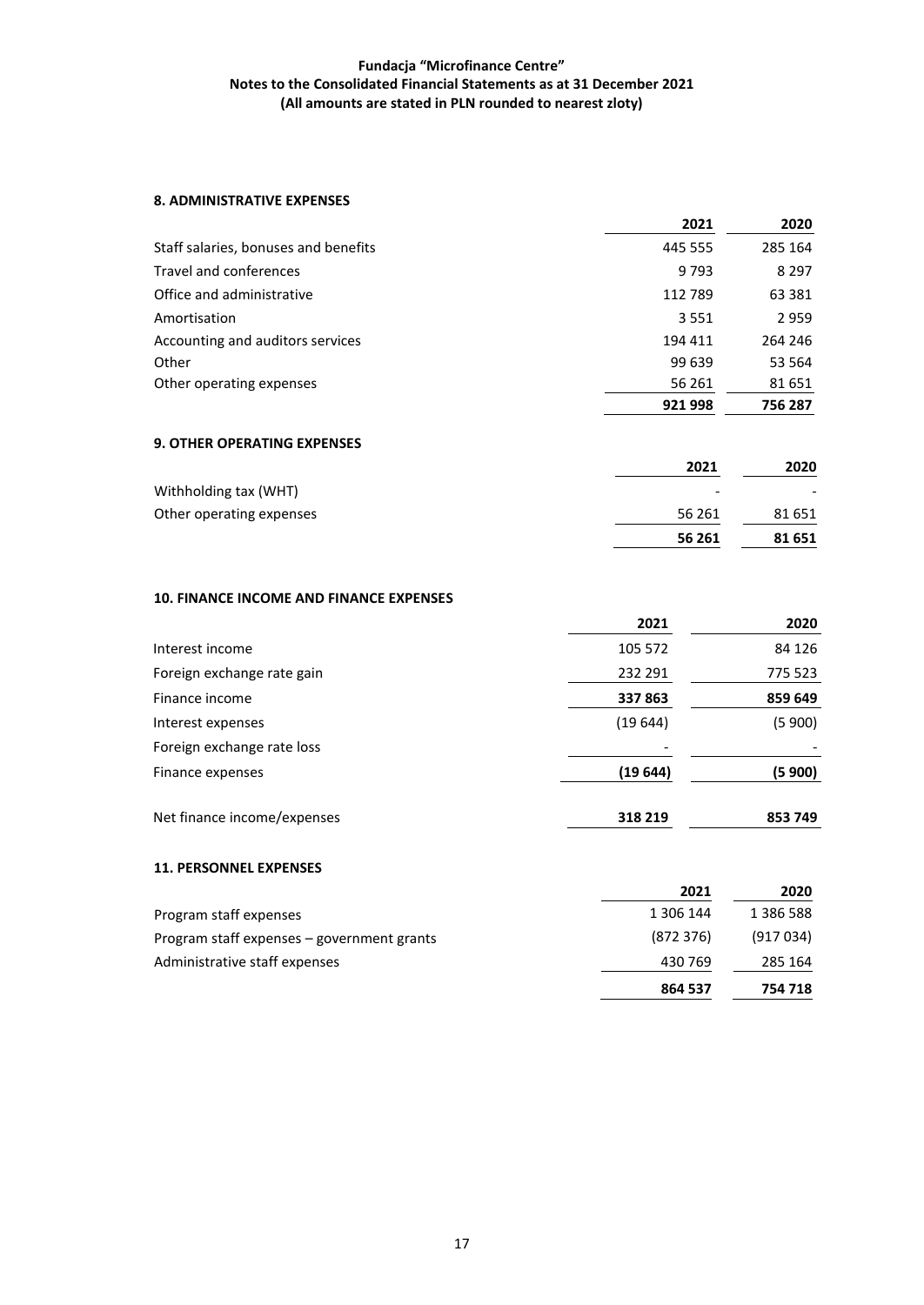## <span id="page-16-0"></span>**8. ADMINISTRATIVE EXPENSES**

|                                      | 2021    | 2020    |
|--------------------------------------|---------|---------|
| Staff salaries, bonuses and benefits | 445 555 | 285 164 |
| Travel and conferences               | 9 7 9 3 | 8 2 9 7 |
| Office and administrative            | 112 789 | 63 381  |
| Amortisation                         | 3551    | 2959    |
| Accounting and auditors services     | 194 411 | 264 246 |
| Other                                | 99 639  | 53 564  |
| Other operating expenses             | 56 261  | 81 651  |
|                                      | 921998  | 756 287 |

## <span id="page-16-1"></span>**9. OTHER OPERATING EXPENSES**

|                          | 2021                     | 2020   |
|--------------------------|--------------------------|--------|
| Withholding tax (WHT)    | $\overline{\phantom{a}}$ |        |
| Other operating expenses | 56 261                   | 81 651 |
|                          | 56 261                   | 81651  |

# <span id="page-16-2"></span>**10. FINANCE INCOME AND FINANCE EXPENSES**

|                             | 2021    | 2020    |
|-----------------------------|---------|---------|
| Interest income             | 105 572 | 84 126  |
| Foreign exchange rate gain  | 232 291 | 775 523 |
| Finance income              | 337863  | 859 649 |
| Interest expenses           | (19644) | (5 900) |
| Foreign exchange rate loss  |         |         |
| Finance expenses            | (19644) | (5 900) |
| Net finance income/expenses | 318 219 | 853 749 |

## <span id="page-16-3"></span>**11. PERSONNEL EXPENSES**

|                                            | 2021      | 2020      |
|--------------------------------------------|-----------|-----------|
| Program staff expenses                     | 1 306 144 | 1 386 588 |
| Program staff expenses – government grants | (872376)  | (917 034) |
| Administrative staff expenses              | 430 769   | 285 164   |
|                                            | 864 537   | 754 718   |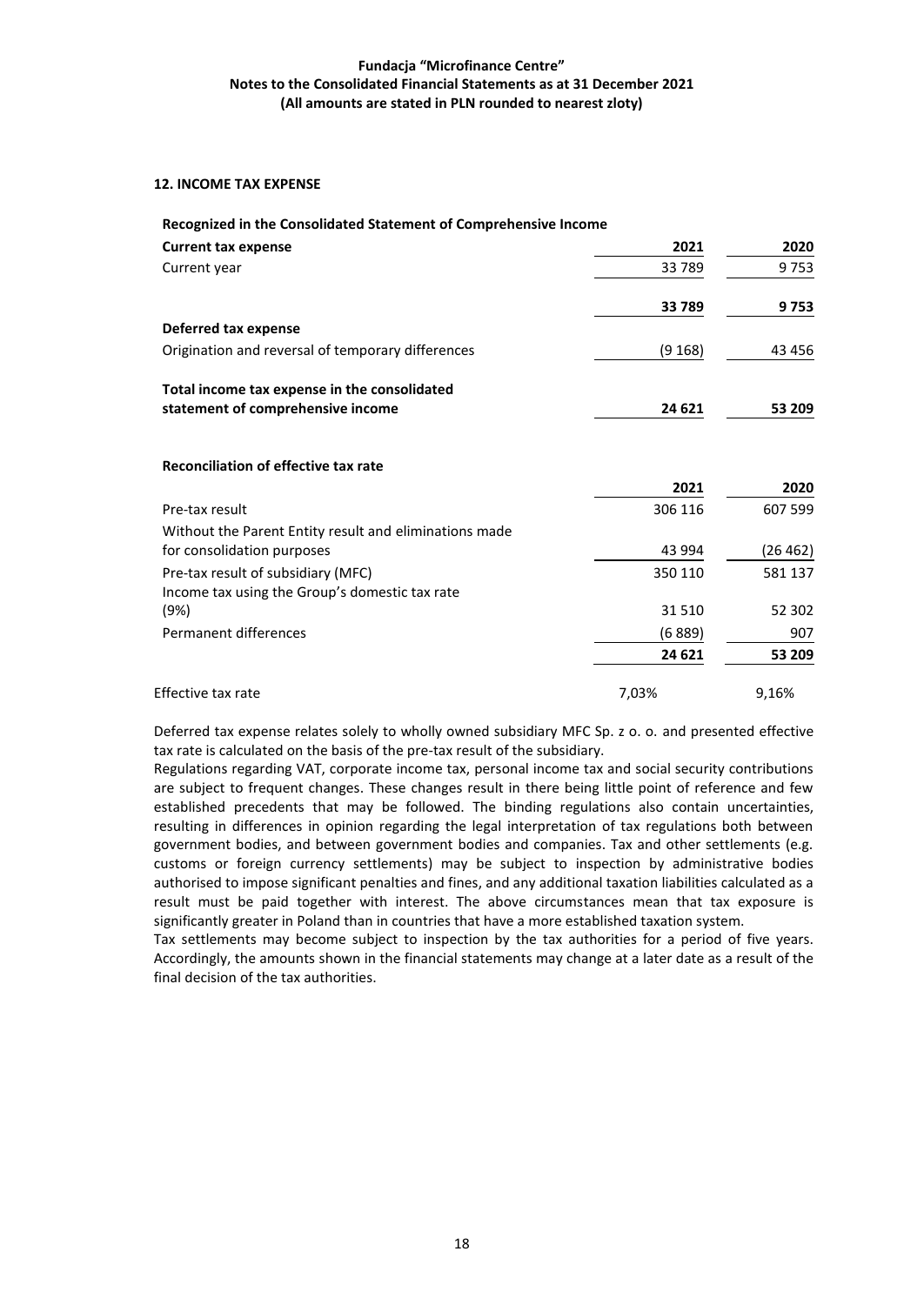#### <span id="page-17-0"></span>**12. INCOME TAX EXPENSE**

| Recognized in the Consolidated Statement of Comprehensive Income |         |          |
|------------------------------------------------------------------|---------|----------|
| <b>Current tax expense</b>                                       | 2021    | 2020     |
| Current year                                                     | 33 7 89 | 9753     |
|                                                                  | 33789   | 9753     |
| Deferred tax expense                                             |         |          |
| Origination and reversal of temporary differences                | (9168)  | 43 45 6  |
| Total income tax expense in the consolidated                     |         |          |
| statement of comprehensive income                                | 24 621  | 53 209   |
| <b>Reconciliation of effective tax rate</b>                      | 2021    | 2020     |
| Pre-tax result                                                   | 306 116 | 607 599  |
| Without the Parent Entity result and eliminations made           |         |          |
| for consolidation purposes                                       | 43 994  | (26 462) |
| Pre-tax result of subsidiary (MFC)                               | 350 110 | 581 137  |
| Income tax using the Group's domestic tax rate                   |         |          |
| (9%)                                                             | 31510   | 52 302   |
| Permanent differences                                            | (6889)  | 907      |
|                                                                  | 24 621  | 53 209   |
| <b>Effective tax rate</b>                                        | 7,03%   | 9,16%    |

Deferred tax expense relates solely to wholly owned subsidiary MFC Sp. z o. o. and presented effective tax rate is calculated on the basis of the pre-tax result of the subsidiary.

Regulations regarding VAT, corporate income tax, personal income tax and social security contributions are subject to frequent changes. These changes result in there being little point of reference and few established precedents that may be followed. The binding regulations also contain uncertainties, resulting in differences in opinion regarding the legal interpretation of tax regulations both between government bodies, and between government bodies and companies. Tax and other settlements (e.g. customs or foreign currency settlements) may be subject to inspection by administrative bodies authorised to impose significant penalties and fines, and any additional taxation liabilities calculated as a result must be paid together with interest. The above circumstances mean that tax exposure is significantly greater in Poland than in countries that have a more established taxation system.

Tax settlements may become subject to inspection by the tax authorities for a period of five years. Accordingly, the amounts shown in the financial statements may change at a later date as a result of the final decision of the tax authorities.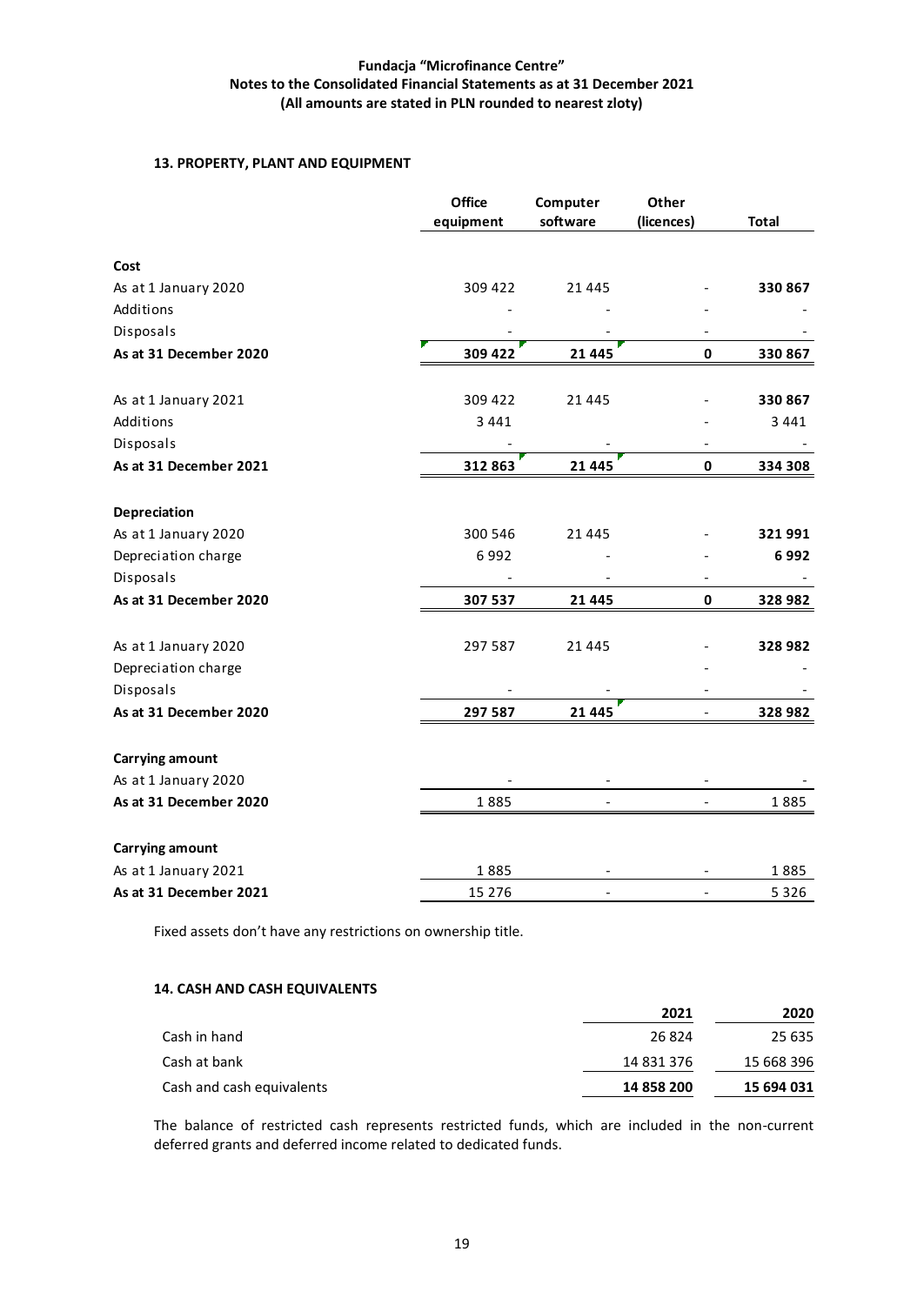# **13. PROPERTY, PLANT AND EQUIPMENT**

<span id="page-18-0"></span>

|                        | Office    | Computer | Other       |              |
|------------------------|-----------|----------|-------------|--------------|
|                        | equipment | software | (licences)  | <b>Total</b> |
| Cost                   |           |          |             |              |
| As at 1 January 2020   | 309 422   | 21 4 4 5 |             | 330 867      |
| Additions              |           |          |             |              |
| Disposals              |           |          |             |              |
| As at 31 December 2020 | 309 422   | 21 4 4 5 | $\mathbf 0$ | 330 867      |
| As at 1 January 2021   | 309 422   | 21 4 4 5 |             | 330 867      |
| Additions              | 3 4 4 1   |          |             | 3 4 4 1      |
| Disposals              |           |          |             |              |
| As at 31 December 2021 | 312863    | 21 4 4 5 | $\pmb{0}$   | 334 308      |
| Depreciation           |           |          |             |              |
| As at 1 January 2020   | 300 546   | 21 4 4 5 |             | 321991       |
| Depreciation charge    | 6992      |          |             | 6992         |
| Disposals              |           |          |             |              |
| As at 31 December 2020 | 307 537   | 21 4 4 5 | 0           | 328 982      |
| As at 1 January 2020   | 297 587   | 21 4 4 5 |             | 328 982      |
| Depreciation charge    |           |          |             |              |
| Disposals              |           |          |             |              |
| As at 31 December 2020 | 297 587   | 21 4 4 5 |             | 328 982      |
| <b>Carrying amount</b> |           |          |             |              |
| As at 1 January 2020   |           |          |             |              |
| As at 31 December 2020 | 1885      |          |             | 1885         |
| <b>Carrying amount</b> |           |          |             |              |
| As at 1 January 2021   | 1885      |          |             | 1885         |
| As at 31 December 2021 | 15 2 7 6  |          |             | 5 3 2 6      |

Fixed assets don't have any restrictions on ownership title.

## <span id="page-18-1"></span>**14. CASH AND CASH EQUIVALENTS**

|                           | 2021       | 2020       |
|---------------------------|------------|------------|
| Cash in hand              | 26824      | 25 635     |
| Cash at bank              | 14 831 376 | 15 668 396 |
| Cash and cash equivalents | 14 858 200 | 15 694 031 |

The balance of restricted cash represents restricted funds, which are included in the non-current deferred grants and deferred income related to dedicated funds.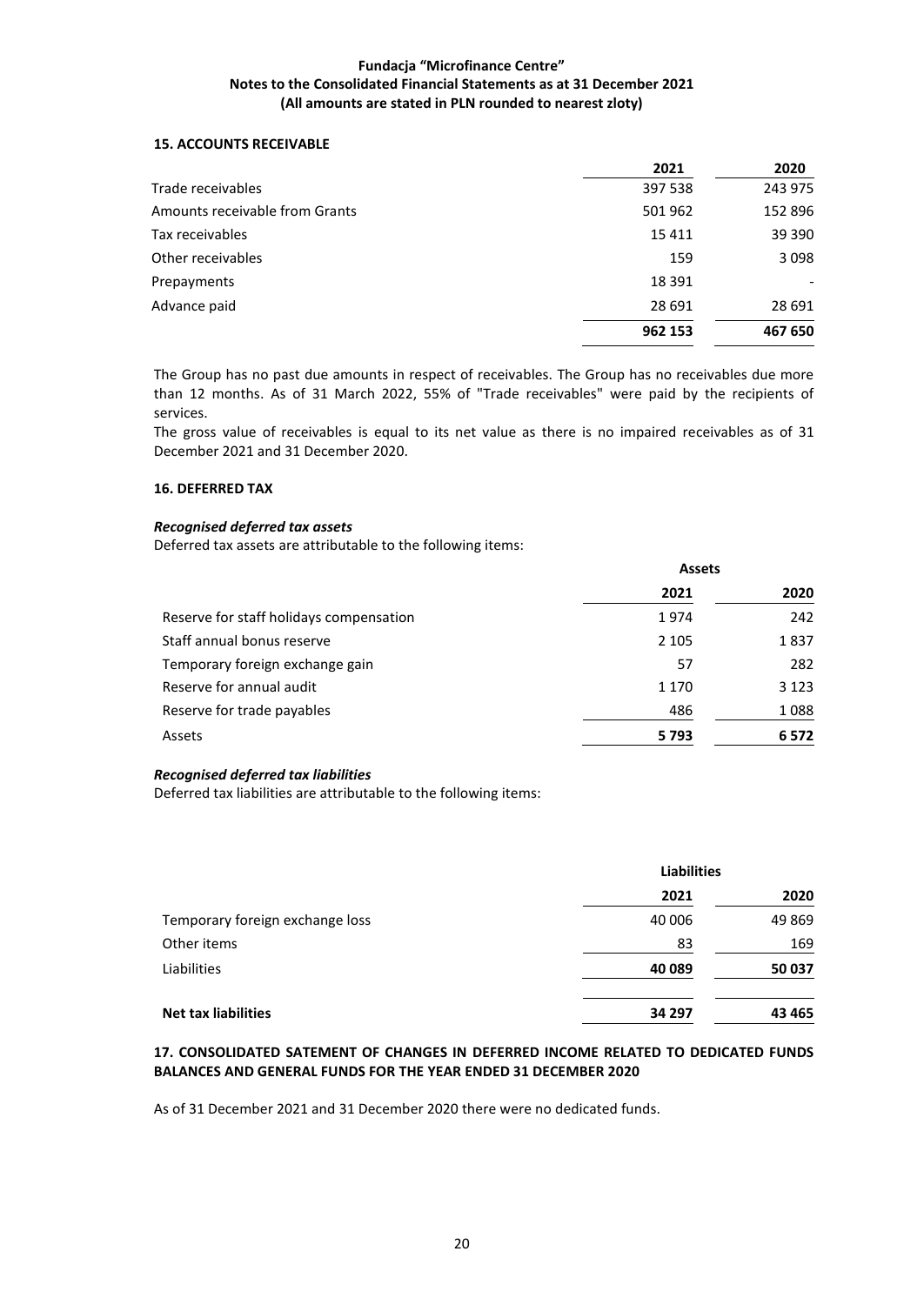## <span id="page-19-0"></span>**15. ACCOUNTS RECEIVABLE**

|                                | 2021     | 2020    |
|--------------------------------|----------|---------|
| Trade receivables              | 397 538  | 243 975 |
| Amounts receivable from Grants | 501 962  | 152 896 |
| Tax receivables                | 15 4 11  | 39 390  |
| Other receivables              | 159      | 3098    |
| Prepayments                    | 18 3 9 1 |         |
| Advance paid                   | 28 691   | 28 691  |
|                                | 962 153  | 467 650 |

The Group has no past due amounts in respect of receivables. The Group has no receivables due more than 12 months. As of 31 March 2022, 55% of "Trade receivables" were paid by the recipients of services.

The gross value of receivables is equal to its net value as there is no impaired receivables as of 31 December 2021 and 31 December 2020.

## <span id="page-19-1"></span>**16. DEFERRED TAX**

#### *Recognised deferred tax assets*

Deferred tax assets are attributable to the following items:

|                                         | <b>Assets</b> |         |
|-----------------------------------------|---------------|---------|
|                                         | 2021          | 2020    |
| Reserve for staff holidays compensation | 1974          | 242     |
| Staff annual bonus reserve              | 2 1 0 5       | 1837    |
| Temporary foreign exchange gain         | 57            | 282     |
| Reserve for annual audit                | 1 1 7 0       | 3 1 2 3 |
| Reserve for trade payables              | 486           | 1088    |
| Assets                                  | 5793          | 6 5 7 2 |

## *Recognised deferred tax liabilities*

Deferred tax liabilities are attributable to the following items:

|                                 | <b>Liabilities</b> |         |
|---------------------------------|--------------------|---------|
|                                 | 2021               | 2020    |
| Temporary foreign exchange loss | 40 006             | 49 869  |
| Other items                     | 83                 | 169     |
| Liabilities                     | 40 089             | 50 037  |
| <b>Net tax liabilities</b>      | 34 297             | 43 4 65 |

## <span id="page-19-2"></span>**17. CONSOLIDATED SATEMENT OF CHANGES IN DEFERRED INCOME RELATED TO DEDICATED FUNDS BALANCES AND GENERAL FUNDS FOR THE YEAR ENDED 31 DECEMBER 2020**

As of 31 December 2021 and 31 December 2020 there were no dedicated funds.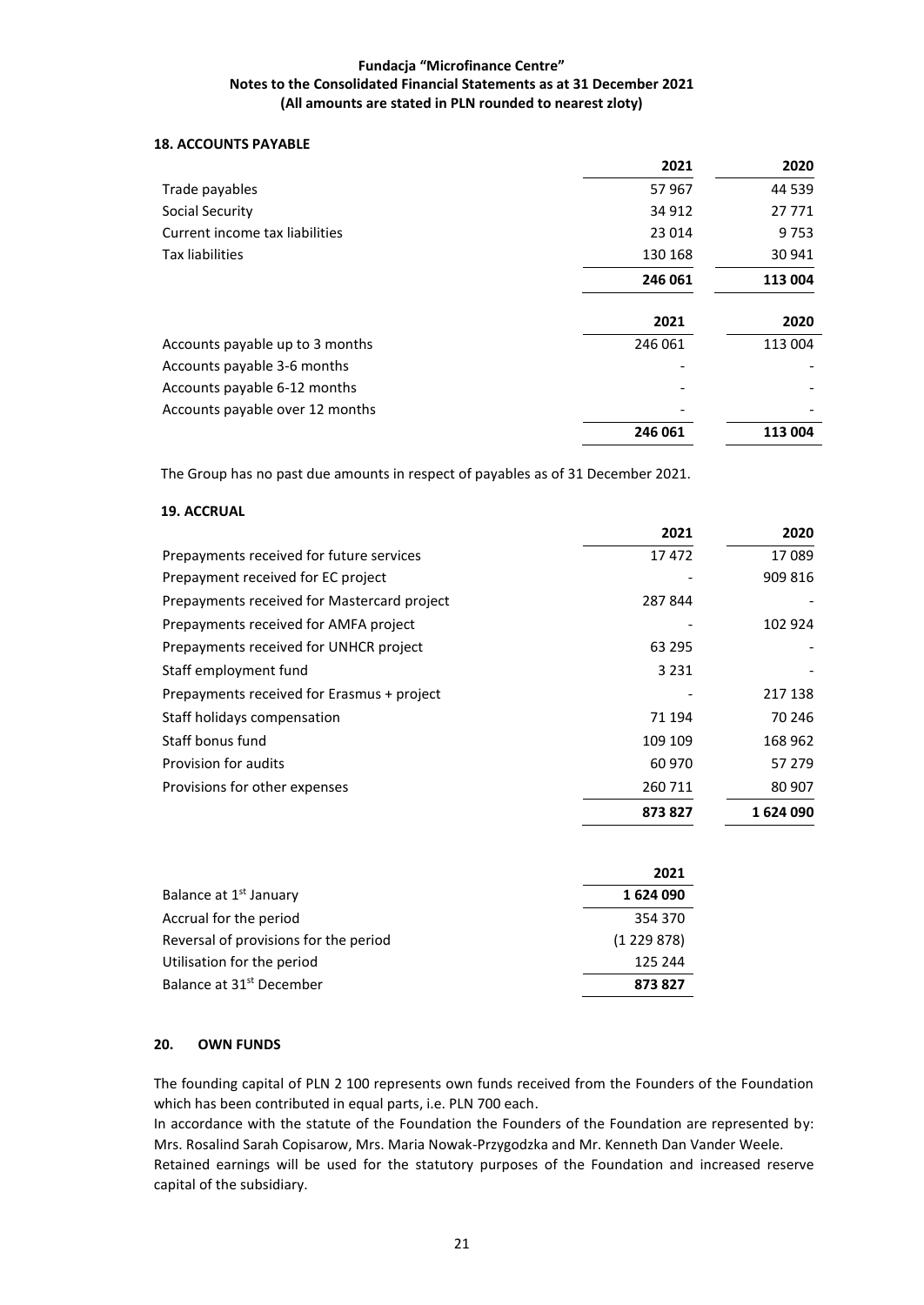## <span id="page-20-0"></span>**18. ACCOUNTS PAYABLE**

|                                 | 2021    | 2020    |
|---------------------------------|---------|---------|
| Trade payables                  | 57 967  | 44 539  |
| Social Security                 | 34 912  | 27 771  |
| Current income tax liabilities  | 23 014  | 9753    |
| Tax liabilities                 | 130 168 | 30 941  |
|                                 | 246 061 | 113 004 |
|                                 | 2021    | 2020    |
| Accounts payable up to 3 months | 246 061 | 113 004 |
| Accounts payable 3-6 months     |         |         |
| Accounts payable 6-12 months    |         |         |
| Accounts payable over 12 months |         |         |
|                                 | 246 061 | 113 004 |

The Group has no past due amounts in respect of payables as of 31 December 2021.

## <span id="page-20-1"></span> **19. ACCRUAL**

|                                             | 2021    | 2020    |
|---------------------------------------------|---------|---------|
| Prepayments received for future services    | 17472   | 17089   |
| Prepayment received for EC project          |         | 909 816 |
| Prepayments received for Mastercard project | 287844  |         |
| Prepayments received for AMFA project       |         | 102 924 |
| Prepayments received for UNHCR project      | 63 295  |         |
| Staff employment fund                       | 3 2 3 1 |         |
| Prepayments received for Erasmus + project  |         | 217 138 |
| Staff holidays compensation                 | 71 194  | 70 246  |
| Staff bonus fund                            | 109 109 | 168 962 |
| Provision for audits                        | 60 970  | 57 279  |
| Provisions for other expenses               | 260 711 | 80 907  |
|                                             | 873827  | 1624090 |

|                                       | 2021      |
|---------------------------------------|-----------|
| Balance at 1 <sup>st</sup> January    | 1624090   |
| Accrual for the period                | 354 370   |
| Reversal of provisions for the period | (1229878) |
| Utilisation for the period            | 125 244   |
| Balance at 31 <sup>st</sup> December  | 873827    |

## <span id="page-20-2"></span>**20. OWN FUNDS**

The founding capital of PLN 2 100 represents own funds received from the Founders of the Foundation which has been contributed in equal parts, i.e. PLN 700 each.

In accordance with the statute of the Foundation the Founders of the Foundation are represented by: Mrs. Rosalind Sarah Copisarow, Mrs. Maria Nowak-Przygodzka and Mr. Kenneth Dan Vander Weele. Retained earnings will be used for the statutory purposes of the Foundation and increased reserve

capital of the subsidiary.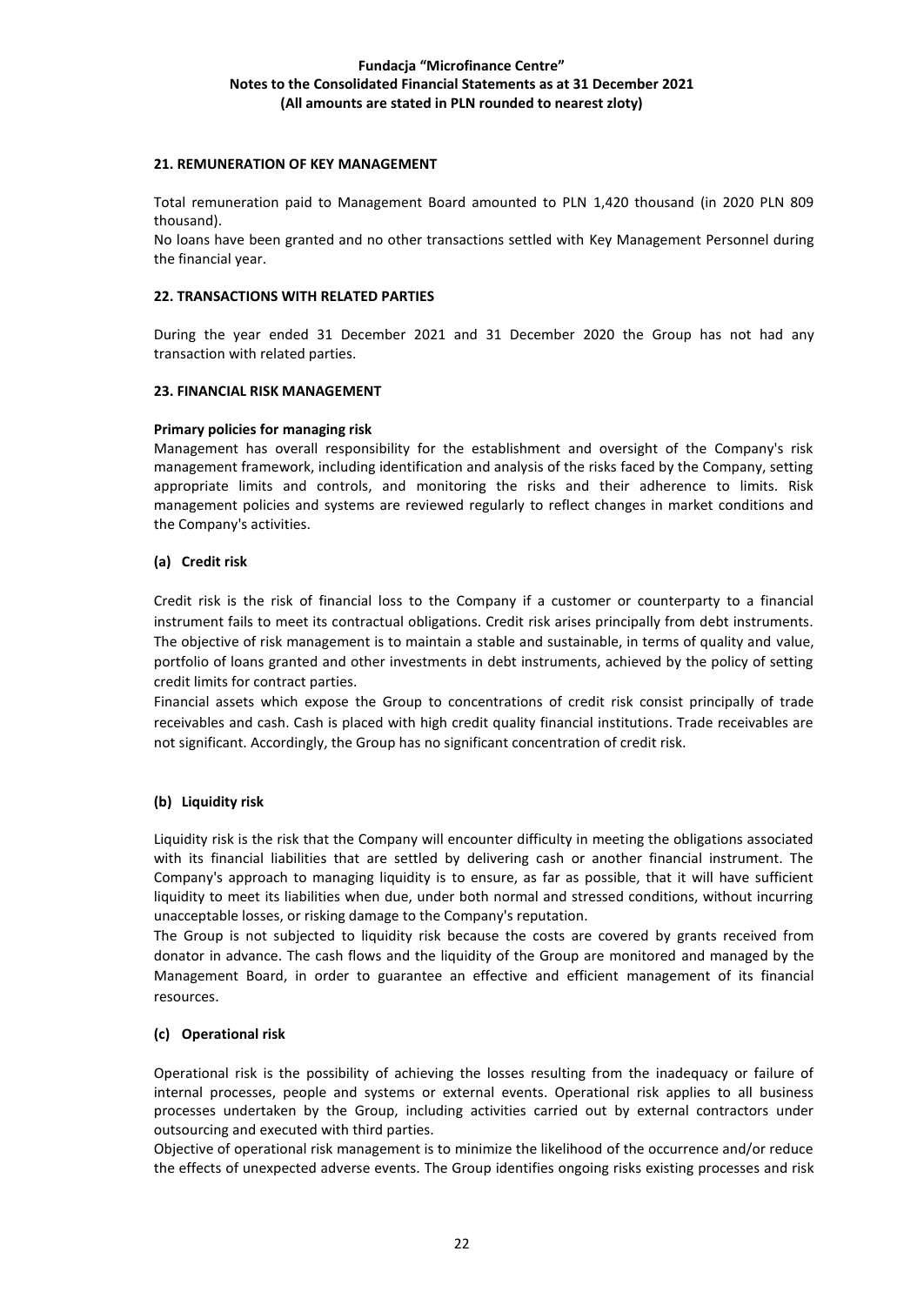## <span id="page-21-0"></span>**21. REMUNERATION OF KEY MANAGEMENT**

Total remuneration paid to Management Board amounted to PLN 1,420 thousand (in 2020 PLN 809 thousand).

No loans have been granted and no other transactions settled with Key Management Personnel during the financial year.

#### <span id="page-21-1"></span>**22. TRANSACTIONS WITH RELATED PARTIES**

During the year ended 31 December 2021 and 31 December 2020 the Group has not had any transaction with related parties.

#### <span id="page-21-2"></span>**23. FINANCIAL RISK MANAGEMENT**

#### **Primary policies for managing risk**

Management has overall responsibility for the establishment and oversight of the Company's risk management framework, including identification and analysis of the risks faced by the Company, setting appropriate limits and controls, and monitoring the risks and their adherence to limits. Risk management policies and systems are reviewed regularly to reflect changes in market conditions and the Company's activities.

## <span id="page-21-3"></span>**(a) Credit risk**

Credit risk is the risk of financial loss to the Company if a customer or counterparty to a financial instrument fails to meet its contractual obligations. Credit risk arises principally from debt instruments. The objective of risk management is to maintain a stable and sustainable, in terms of quality and value, portfolio of loans granted and other investments in debt instruments, achieved by the policy of setting credit limits for contract parties.

Financial assets which expose the Group to concentrations of credit risk consist principally of trade receivables and cash. Cash is placed with high credit quality financial institutions. Trade receivables are not significant. Accordingly, the Group has no significant concentration of credit risk.

## <span id="page-21-4"></span>**(b) Liquidity risk**

Liquidity risk is the risk that the Company will encounter difficulty in meeting the obligations associated with its financial liabilities that are settled by delivering cash or another financial instrument. The Company's approach to managing liquidity is to ensure, as far as possible, that it will have sufficient liquidity to meet its liabilities when due, under both normal and stressed conditions, without incurring unacceptable losses, or risking damage to the Company's reputation.

The Group is not subjected to liquidity risk because the costs are covered by grants received from donator in advance. The cash flows and the liquidity of the Group are monitored and managed by the Management Board, in order to guarantee an effective and efficient management of its financial resources.

## <span id="page-21-5"></span>**(c) Operational risk**

Operational risk is the possibility of achieving the losses resulting from the inadequacy or failure of internal processes, people and systems or external events. Operational risk applies to all business processes undertaken by the Group, including activities carried out by external contractors under outsourcing and executed with third parties.

Objective of operational risk management is to minimize the likelihood of the occurrence and/or reduce the effects of unexpected adverse events. The Group identifies ongoing risks existing processes and risk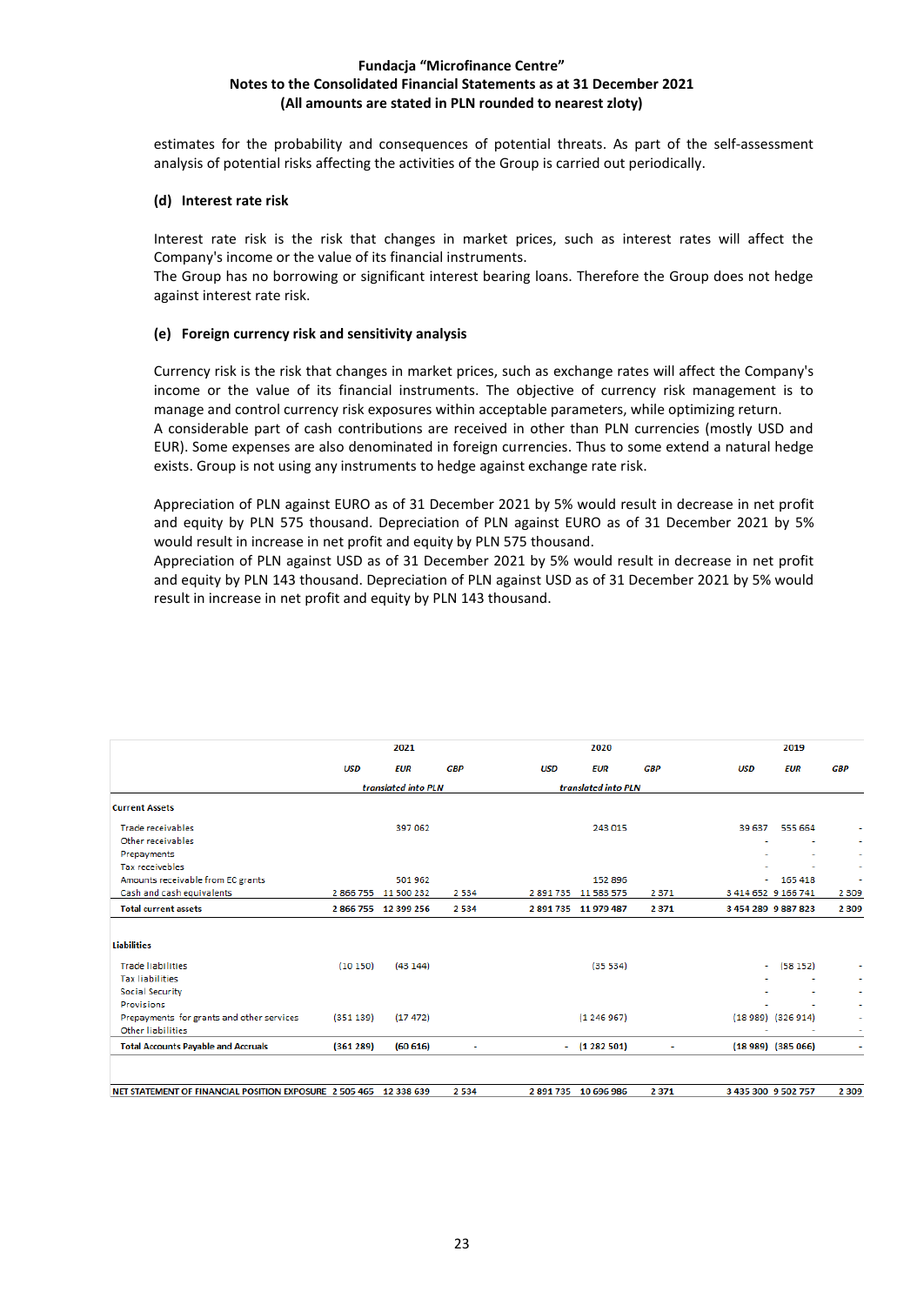estimates for the probability and consequences of potential threats. As part of the self-assessment analysis of potential risks affecting the activities of the Group is carried out periodically.

#### <span id="page-22-0"></span>**(d) Interest rate risk**

Interest rate risk is the risk that changes in market prices, such as interest rates will affect the Company's income or the value of its financial instruments.

The Group has no borrowing or significant interest bearing loans. Therefore the Group does not hedge against interest rate risk.

#### <span id="page-22-1"></span>**(e) Foreign currency risk and sensitivity analysis**

Currency risk is the risk that changes in market prices, such as exchange rates will affect the Company's income or the value of its financial instruments. The objective of currency risk management is to manage and control currency risk exposures within acceptable parameters, while optimizing return. A considerable part of cash contributions are received in other than PLN currencies (mostly USD and

EUR). Some expenses are also denominated in foreign currencies. Thus to some extend a natural hedge exists. Group is not using any instruments to hedge against exchange rate risk.

Appreciation of PLN against EURO as of 31 December 2021 by 5% would result in decrease in net profit and equity by PLN 575 thousand. Depreciation of PLN against EURO as of 31 December 2021 by 5% would result in increase in net profit and equity by PLN 575 thousand.

Appreciation of PLN against USD as of 31 December 2021 by 5% would result in decrease in net profit and equity by PLN 143 thousand. Depreciation of PLN against USD as of 31 December 2021 by 5% would result in increase in net profit and equity by PLN 143 thousand.

|                                                                       | 2021                |                      | 2020                |            |                      | 2019       |                     |                      |                          |
|-----------------------------------------------------------------------|---------------------|----------------------|---------------------|------------|----------------------|------------|---------------------|----------------------|--------------------------|
|                                                                       | <b>USD</b>          | <b>EUR</b>           | <b>GBP</b>          | <b>USD</b> | <b>EUR</b>           | <b>GBP</b> | <b>USD</b>          | <b>EUR</b>           | <b>GBP</b>               |
|                                                                       | translated into PLN |                      | translated into PLN |            |                      |            |                     |                      |                          |
| <b>Current Assets</b>                                                 |                     |                      |                     |            |                      |            |                     |                      |                          |
| <b>Trade receivables</b>                                              |                     | 397 062              |                     |            | 243 015              |            | 39 637              | 555 664              |                          |
| Other receivables                                                     |                     |                      |                     |            |                      |            |                     |                      | ۰                        |
| Prepayments                                                           |                     |                      |                     |            |                      |            |                     |                      | $\tilde{\phantom{a}}$    |
| <b>Tax receivebles</b>                                                |                     |                      |                     |            |                      |            |                     |                      | $\overline{\phantom{a}}$ |
| Amounts receivable from EC grants                                     |                     | 501 962              |                     |            | 152 896              |            | ٠                   | 165 418              | ÷                        |
| Cash and cash equivalents                                             |                     | 2 866 755 11 500 232 | 2534                |            | 2 891 735 11 583 575 | 2 3 7 1    | 3 414 652 9 166 741 |                      | 2 3 0 9                  |
| <b>Total current assets</b>                                           |                     | 2866755 12399256     | 2534                |            | 2891735 11979487     | 2371       |                     | 3 454 289 9 887 823  | 2 3 0 9                  |
| <b>Liabilities</b>                                                    |                     |                      |                     |            |                      |            |                     |                      |                          |
| <b>Trade liabilities</b>                                              | (10150)             | (43144)              |                     |            | (35534)              |            | ٠                   | (58152)              | ٠                        |
| <b>Tax liabilities</b>                                                |                     |                      |                     |            |                      |            |                     |                      | ۰                        |
| <b>Social Security</b>                                                |                     |                      |                     |            |                      |            |                     |                      | ۰                        |
| <b>Provisions</b>                                                     |                     |                      |                     |            |                      |            |                     |                      | ۰                        |
| Prepayments for grants and other services<br><b>Other liabilities</b> | (351139)            | (17472)              |                     |            | (1246967)            |            |                     | (18 989) (326 914)   | ۰<br>٠                   |
| <b>Total Accounts Payable and Accruals</b>                            | (361 289)           | (60616)              | $\sim$              | $\sim$     | (1282501)            |            |                     | $(18989)$ $(385066)$ | ÷                        |
|                                                                       |                     |                      |                     |            |                      |            |                     |                      |                          |
| NET STATEMENT OF FINANCIAL POSITION EXPOSURE 2 505 465 12 338 639     |                     |                      | 2534                |            | 2891735 10696986     | 2371       |                     | 3 435 300 9 502 757  | 2 3 0 9                  |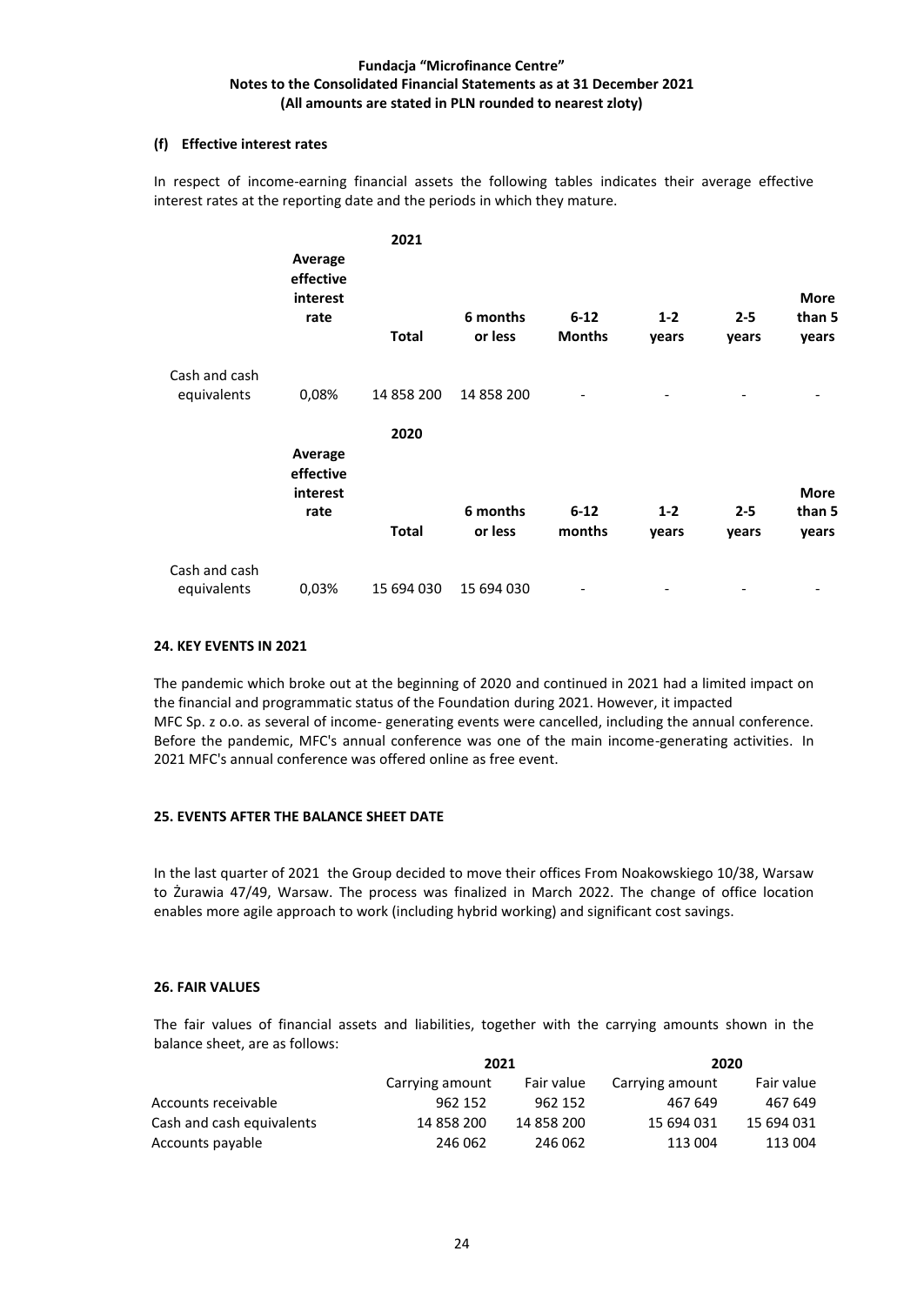## <span id="page-23-0"></span>**(f) Effective interest rates**

In respect of income-earning financial assets the following tables indicates their average effective interest rates at the reporting date and the periods in which they mature.

|                              | Average<br>effective<br>interest<br>rate | 2021<br><b>Total</b>       | 6 months<br>or less   | $6 - 12$<br><b>Months</b> | $1 - 2$<br>years         | $2 - 5$<br>years | <b>More</b><br>than 5<br>years |
|------------------------------|------------------------------------------|----------------------------|-----------------------|---------------------------|--------------------------|------------------|--------------------------------|
| Cash and cash<br>equivalents | 0,08%                                    | 14 858 200                 | 14 858 200            |                           | $\overline{\phantom{a}}$ | -                |                                |
|                              | Average<br>effective<br>interest<br>rate | 2020                       | 6 months              | $6 - 12$                  | $1-2$                    | $2 - 5$          | <b>More</b><br>than 5          |
| Cash and cash<br>equivalents | 0,03%                                    | <b>Total</b><br>15 694 030 | or less<br>15 694 030 | months                    | years                    | years            | years                          |

#### <span id="page-23-1"></span>**24. KEY EVENTS IN 2021**

The pandemic which broke out at the beginning of 2020 and continued in 2021 had a limited impact on the financial and programmatic status of the Foundation during 2021. However, it impacted MFC Sp. z o.o. as several of income- generating events were cancelled, including the annual conference. Before the pandemic, MFC's annual conference was one of the main income-generating activities. In 2021 MFC's annual conference was offered online as free event.

#### <span id="page-23-2"></span>**25. EVENTS AFTER THE BALANCE SHEET DATE**

In the last quarter of 2021 the Group decided to move their offices From Noakowskiego 10/38, Warsaw to Żurawia 47/49, Warsaw. The process was finalized in March 2022. The change of office location enables more agile approach to work (including hybrid working) and significant cost savings.

#### <span id="page-23-3"></span>**26. FAIR VALUES**

The fair values of financial assets and liabilities, together with the carrying amounts shown in the balance sheet, are as follows:

|                           | 2021            |            | 2020            |            |  |
|---------------------------|-----------------|------------|-----------------|------------|--|
|                           | Carrying amount | Fair value | Carrying amount | Fair value |  |
| Accounts receivable       | 962 152         | 962 152    | 467 649         | 467 649    |  |
| Cash and cash equivalents | 14 858 200      | 14 858 200 | 15 694 031      | 15 694 031 |  |
| Accounts payable          | 246 062         | 246 062    | 113 004         | 113 004    |  |